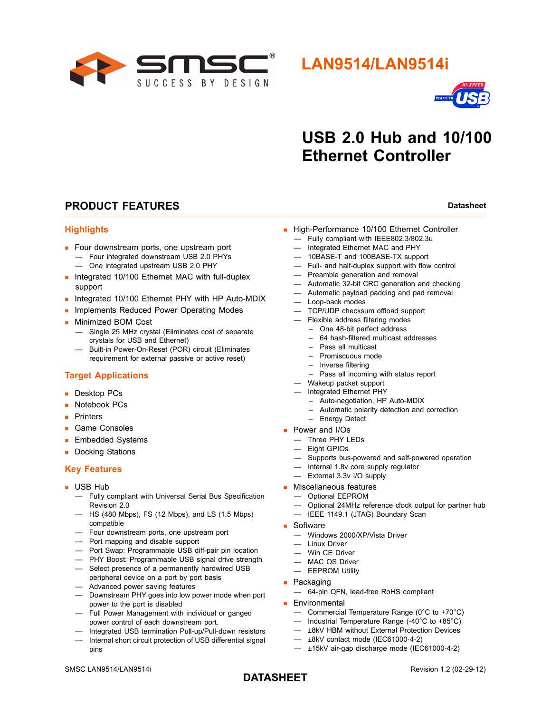

## **LAN9514/LAN9514i**



# **USB 2.0 Hub and 10/100 Ethernet Controller**

## **PRODUCT FEATURES Datasheet Datasheet Datasheet**

#### **Highlights**

- Four downstream ports, one upstream port
	- Four integrated downstream USB 2.0 PHYs — One integrated upstream USB 2.0 PHY
- **Integrated 10/100 Ethernet MAC with full-duplex** support
- Integrated 10/100 Ethernet PHY with HP Auto-MDIX
- **Implements Reduced Power Operating Modes**
- **Minimized BOM Cost** 
	- Single 25 MHz crystal (Eliminates cost of separate crystals for USB and Ethernet)
	- Built-in Power-On-Reset (POR) circuit (Eliminates requirement for external passive or active reset)

#### **Target Applications**

- Desktop PCs
- **Notebook PCs**
- **Printers**
- Game Consoles
- **Embedded Systems**
- Docking Stations

#### **Key Features**

- **USB Hub** 
	- Fully compliant with Universal Serial Bus Specification Revision 2.0
	- HS (480 Mbps), FS (12 Mbps), and LS (1.5 Mbps) compatible
	- Four downstream ports, one upstream port
	- Port mapping and disable support
	- Port Swap: Programmable USB diff-pair pin location
	- PHY Boost: Programmable USB signal drive strength
	- Select presence of a permanently hardwired USB peripheral device on a port by port basis
	- Advanced power saving features
	- Downstream PHY goes into low power mode when port power to the port is disabled
	- Full Power Management with individual or ganged power control of each downstream port.
	- Integrated USB termination Pull-up/Pull-down resistors — Internal short circuit protection of USB differential signal pins
- High-Performance 10/100 Ethernet Controller
	- Fully compliant with IEEE802.3/802.3u
	- Integrated Ethernet MAC and PHY
	- 10BASE-T and 100BASE-TX support
	- Full- and half-duplex support with flow control
	- Preamble generation and removal
	- Automatic 32-bit CRC generation and checking
	- Automatic payload padding and pad removal
	- Loop-back modes
	- TCP/UDP checksum offload support
	- Flexible address filtering modes
		- One 48-bit perfect address
		- 64 hash-filtered multicast addresses
		- Pass all multicast
		- Promiscuous mode
		- Inverse filtering
		- Pass all incoming with status report
	- Wakeup packet support
	- Integrated Ethernet PHY
		- Auto-negotiation, HP Auto-MDIX
		- Automatic polarity detection and correction
	- Energy Detect
- **Power and I/Os** 
	- Three PHY LEDs
	- Eight GPIOs
	- Supports bus-powered and self-powered operation
	- Internal 1.8v core supply regulator
	- External 3.3v I/O supply
- **Miscellaneous features** 
	- Optional EEPROM
	- Optional 24MHz reference clock output for partner hub
	- IEEE 1149.1 (JTAG) Boundary Scan
- Software
	- Windows 2000/XP/Vista Driver
	- Linux Driver
	- Win CE Driver
	- MAC OS Driver
	- EEPROM Utility
- **Packaging** 
	- 64-pin QFN, lead-free RoHS compliant
- **Environmental** 
	- Commercial Temperature Range (0°C to +70°C)
	- Industrial Temperature Range (-40°C to +85°C)
	- ±8kV HBM without External Protection Devices
	- ±8kV contact mode (IEC61000-4-2)
	- ±15kV air-gap discharge mode (IEC61000-4-2)

## **DATASHEET**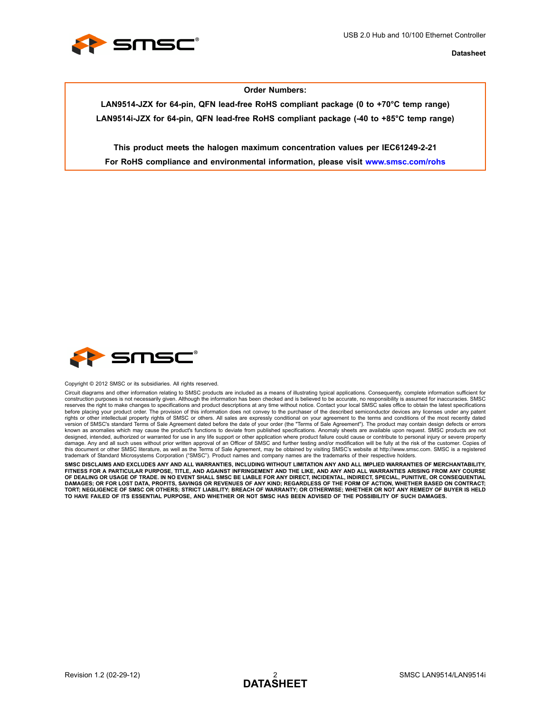

#### **Order Numbers:**

**LAN9514-JZX for 64-pin, QFN lead-free RoHS compliant package (0 to +70°C temp range) LAN9514i-JZX for 64-pin, QFN lead-free RoHS compliant package (-40 to +85°C temp range)**

**This product meets the halogen maximum concentration values per IEC61249-2-21 For RoHS compliance and environmental information, please visit www.smsc.com/rohs**



Copyright © 2012 SMSC or its subsidiaries. All rights reserved.

Circuit diagrams and other information relating to SMSC products are included as a means of illustrating typical applications. Consequently, complete information sufficient for construction purposes is not necessarily given. Although the information has been checked and is believed to be accurate, no responsibility is assumed for inaccuracies. SMSC reserves the right to make changes to specifications and product descriptions at any time without notice. Contact your local SMSC sales office to obtain the latest specifications<br>before placing your product order. The prov version of SMSC's standard Terms of Sale Agreement dated before the date of your order (the "Terms of Sale Agreement"). The product may contain design defects or errors known as anomalies which may cause the product's functions to deviate from published specifications. Anomaly sheets are available upon request. SMSC products are not designed, intended, authorized or warranted for use in any life support or other application where product failure could cause or contribute to personal injury or severe property<br>damage. Any and all such uses without prior this document or other SMSC literature, as well as the Terms of Sale Agreement, may be obtained by visiting SMSC's website at http://www.smsc.com. SMSC is a registered trademark of Standard Microsystems Corporation ("SMSC"). Product names and company names are the trademarks of their respective holders.

**SMSC DISCLAIMS AND EXCLUDES ANY AND ALL WARRANTIES, INCLUDING WITHOUT LIMITATION ANY AND ALL IMPLIED WARRANTIES OF MERCHANTABILITY, FITNESS FOR A PARTICULAR PURPOSE, TITLE, AND AGAINST INFRINGEMENT AND THE LIKE, AND ANY AND ALL WARRANTIES ARISING FROM ANY COURSE** OF DEALING OR USAGE OF TRADE. IN NO EVENT SHALL SMSC BE LIABLE FOR ANY DIRECT, INCIDENTAL, INDIRECT, SPECIAL, PUNITIVE, OR CONSEQUENTIAL<br>DAMAGES; OR FOR LOST DATA, PROFITS, SAVINGS OR REVENUES OF ANY KIND; REGARDLESS OF TH **TORT; NEGLIGENCE OF SMSC OR OTHERS; STRICT LIABILITY; BREACH OF WARRANTY; OR OTHERWISE; WHETHER OR NOT ANY REMEDY OF BUYER IS HELD TO HAVE FAILED OF ITS ESSENTIAL PURPOSE, AND WHETHER OR NOT SMSC HAS BEEN ADVISED OF THE POSSIBILITY OF SUCH DAMAGES.**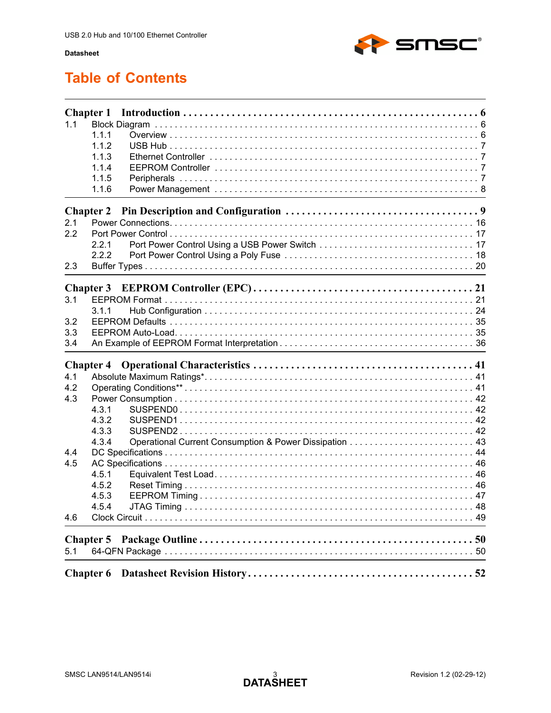

# **Table of Contents**

| 1.1 | <b>Chapter 1</b><br>1.1.1<br>1.1.2<br>1.1.3<br>1.1.4<br>1.1.5<br>1.1.6 |  |
|-----|------------------------------------------------------------------------|--|
|     | <b>Chapter 2</b>                                                       |  |
| 2.1 |                                                                        |  |
| 2.2 |                                                                        |  |
|     | 2.2.1                                                                  |  |
|     | 2.2.2                                                                  |  |
| 2.3 |                                                                        |  |
|     | <b>Chapter 3</b>                                                       |  |
| 3.1 |                                                                        |  |
|     | 3.1.1                                                                  |  |
| 3.2 |                                                                        |  |
| 3.3 |                                                                        |  |
| 3.4 |                                                                        |  |
|     |                                                                        |  |
| 4.1 | <b>Chapter 4</b>                                                       |  |
| 4.2 |                                                                        |  |
| 4.3 |                                                                        |  |
|     | 4.3.1                                                                  |  |
|     | 4.3.2                                                                  |  |
|     | 4.3.3                                                                  |  |
|     | 4.3.4                                                                  |  |
| 4.4 |                                                                        |  |
| 4.5 |                                                                        |  |
|     | 4.5.1                                                                  |  |
|     | 4.5.2                                                                  |  |
|     | 4.5.3                                                                  |  |
|     | 4.5.4                                                                  |  |
| 4.6 |                                                                        |  |
|     |                                                                        |  |
| 5.1 |                                                                        |  |
|     |                                                                        |  |
|     | <b>Chapter 6</b>                                                       |  |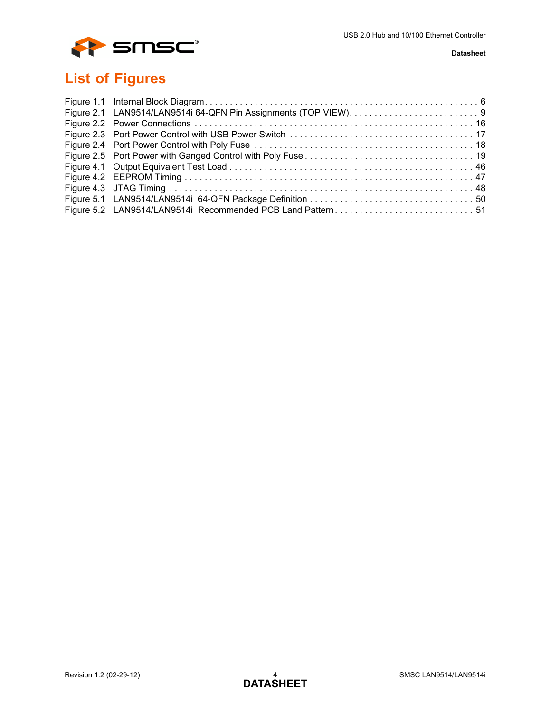

# **List of Figures**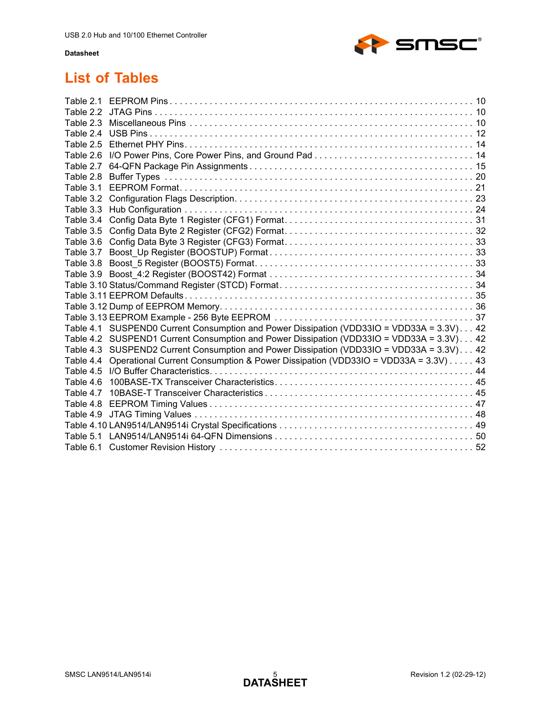

# **List of Tables**

| Table 2.5<br>Table 2.6<br>Table 3.1<br>Table 3.5<br>Table 4.6 | Table 2.7<br>Table 2.8<br>Table 3.2<br>Table 3.4<br>Table 3.6<br>Table 3.8<br>Table 4.1 SUSPEND0 Current Consumption and Power Dissipation (VDD33IO = VDD33A = 3.3V) 42<br>Table 4.2 SUSPEND1 Current Consumption and Power Dissipation (VDD33IO = VDD33A = 3.3V) 42<br>Table 4.3 SUSPEND2 Current Consumption and Power Dissipation (VDD33IO = VDD33A = 3.3V) 42<br>Operational Current Consumption & Power Dissipation (VDD33IO = VDD33A = 3.3V) 43<br>Table 4.4<br>Table 4.5<br>Table 4.7<br>Table 4.8<br>Table 4.9 |
|---------------------------------------------------------------|------------------------------------------------------------------------------------------------------------------------------------------------------------------------------------------------------------------------------------------------------------------------------------------------------------------------------------------------------------------------------------------------------------------------------------------------------------------------------------------------------------------------|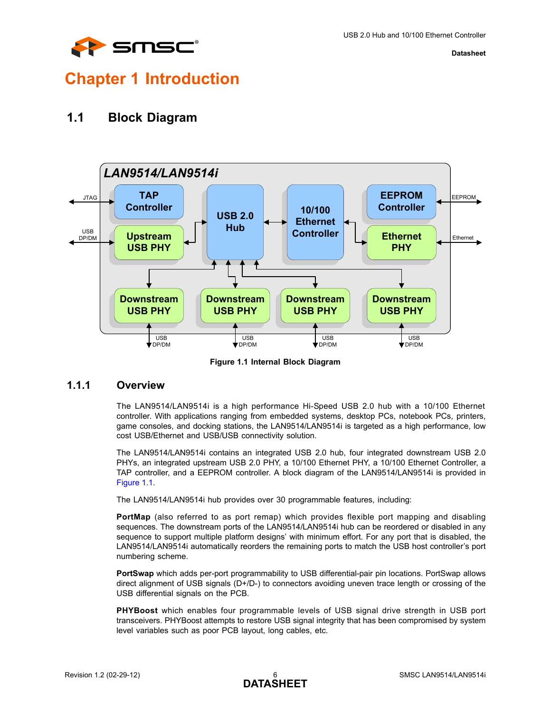

# <span id="page-5-0"></span>**Chapter 1 Introduction**

## <span id="page-5-1"></span>**1.1 Block Diagram**



**Figure 1.1 Internal Block Diagram**

## <span id="page-5-3"></span><span id="page-5-2"></span>**1.1.1 Overview**

The LAN9514/LAN9514i is a high performance Hi-Speed USB 2.0 hub with a 10/100 Ethernet controller. With applications ranging from embedded systems, desktop PCs, notebook PCs, printers, game consoles, and docking stations, the LAN9514/LAN9514i is targeted as a high performance, low cost USB/Ethernet and USB/USB connectivity solution.

The LAN9514/LAN9514i contains an integrated USB 2.0 hub, four integrated downstream USB 2.0 PHYs, an integrated upstream USB 2.0 PHY, a 10/100 Ethernet PHY, a 10/100 Ethernet Controller, a TAP controller, and a EEPROM controller. A block diagram of the LAN9514/LAN9514i is provided in [Figure 1.1](#page-5-3).

The LAN9514/LAN9514i hub provides over 30 programmable features, including:

**PortMap** (also referred to as port remap) which provides flexible port mapping and disabling sequences. The downstream ports of the LAN9514/LAN9514i hub can be reordered or disabled in any sequence to support multiple platform designs' with minimum effort. For any port that is disabled, the LAN9514/LAN9514i automatically reorders the remaining ports to match the USB host controller's port numbering scheme.

**PortSwap** which adds per-port programmability to USB differential-pair pin locations. PortSwap allows direct alignment of USB signals (D+/D-) to connectors avoiding uneven trace length or crossing of the USB differential signals on the PCB.

**PHYBoost** which enables four programmable levels of USB signal drive strength in USB port transceivers. PHYBoost attempts to restore USB signal integrity that has been compromised by system level variables such as poor PCB layout, long cables, etc.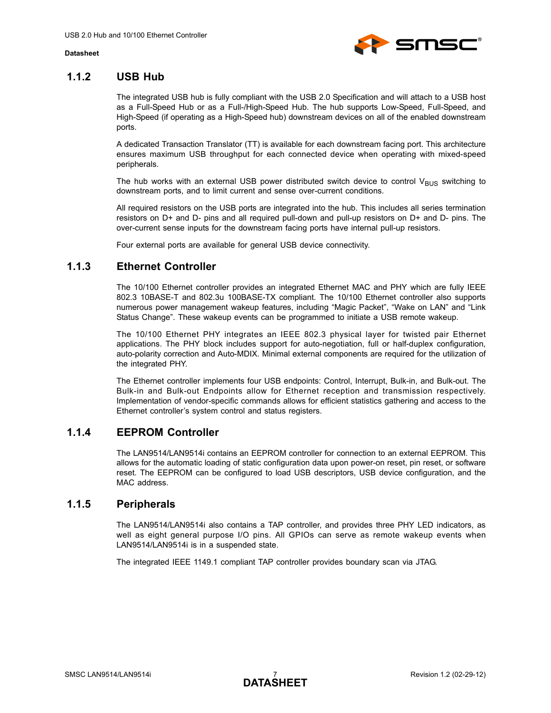

## <span id="page-6-0"></span>**1.1.2 USB Hub**

The integrated USB hub is fully compliant with the USB 2.0 Specification and will attach to a USB host as a Full-Speed Hub or as a Full-/High-Speed Hub. The hub supports Low-Speed, Full-Speed, and High-Speed (if operating as a High-Speed hub) downstream devices on all of the enabled downstream ports.

A dedicated Transaction Translator (TT) is available for each downstream facing port. This architecture ensures maximum USB throughput for each connected device when operating with mixed-speed peripherals.

The hub works with an external USB power distributed switch device to control  $V_{BUS}$  switching to downstream ports, and to limit current and sense over-current conditions.

All required resistors on the USB ports are integrated into the hub. This includes all series termination resistors on D+ and D- pins and all required pull-down and pull-up resistors on D+ and D- pins. The over-current sense inputs for the downstream facing ports have internal pull-up resistors.

Four external ports are available for general USB device connectivity.

## <span id="page-6-1"></span>**1.1.3 Ethernet Controller**

The 10/100 Ethernet controller provides an integrated Ethernet MAC and PHY which are fully IEEE 802.3 10BASE-T and 802.3u 100BASE-TX compliant. The 10/100 Ethernet controller also supports numerous power management wakeup features, including "Magic Packet", "Wake on LAN" and "Link Status Change". These wakeup events can be programmed to initiate a USB remote wakeup.

The 10/100 Ethernet PHY integrates an IEEE 802.3 physical layer for twisted pair Ethernet applications. The PHY block includes support for auto-negotiation, full or half-duplex configuration, auto-polarity correction and Auto-MDIX. Minimal external components are required for the utilization of the integrated PHY.

The Ethernet controller implements four USB endpoints: Control, Interrupt, Bulk-in, and Bulk-out. The Bulk-in and Bulk-out Endpoints allow for Ethernet reception and transmission respectively. Implementation of vendor-specific commands allows for efficient statistics gathering and access to the Ethernet controller's system control and status registers.

## <span id="page-6-2"></span>**1.1.4 EEPROM Controller**

The LAN9514/LAN9514i contains an EEPROM controller for connection to an external EEPROM. This allows for the automatic loading of static configuration data upon power-on reset, pin reset, or software reset. The EEPROM can be configured to load USB descriptors, USB device configuration, and the MAC address.

### <span id="page-6-3"></span>**1.1.5 Peripherals**

The LAN9514/LAN9514i also contains a TAP controller, and provides three PHY LED indicators, as well as eight general purpose I/O pins. All GPIOs can serve as remote wakeup events when LAN9514/LAN9514i is in a suspended state.

The integrated IEEE 1149.1 compliant TAP controller provides boundary scan via JTAG.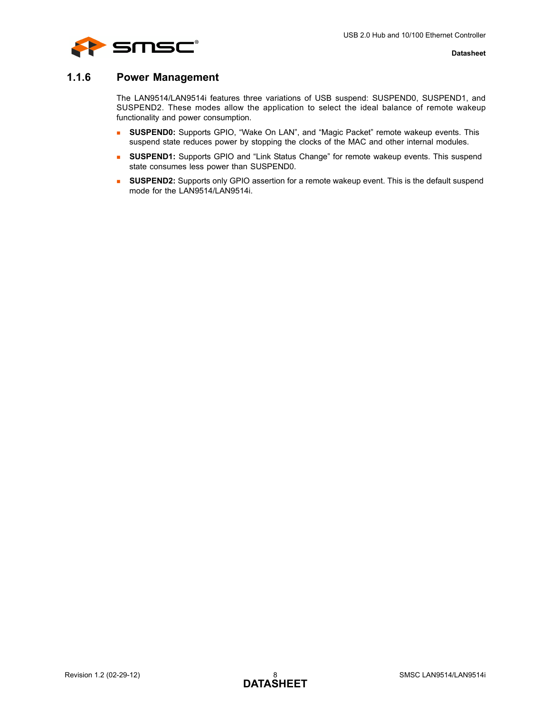

## <span id="page-7-0"></span>**1.1.6 Power Management**

The LAN9514/LAN9514i features three variations of USB suspend: SUSPEND0, SUSPEND1, and SUSPEND2. These modes allow the application to select the ideal balance of remote wakeup functionality and power consumption.

- **SUSPEND0:** Supports GPIO, "Wake On LAN", and "Magic Packet" remote wakeup events. This suspend state reduces power by stopping the clocks of the MAC and other internal modules.
- **SUSPEND1:** Supports GPIO and "Link Status Change" for remote wakeup events. This suspend state consumes less power than SUSPEND0.
- **SUSPEND2:** Supports only GPIO assertion for a remote wakeup event. This is the default suspend mode for the LAN9514/LAN9514i.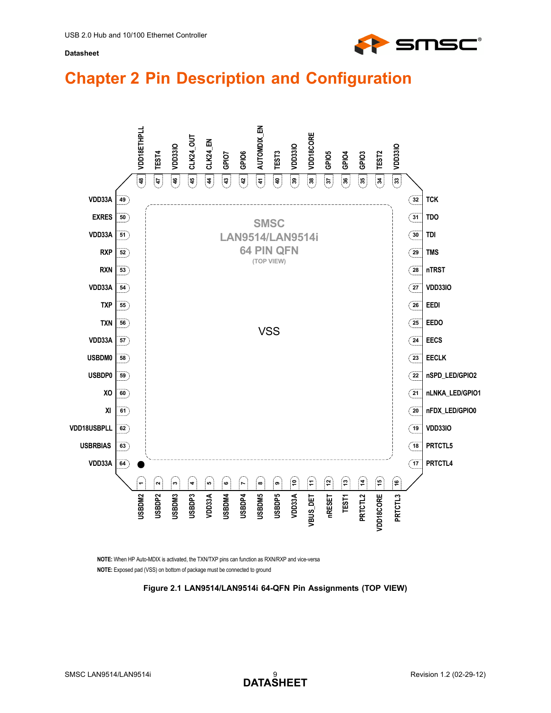

# <span id="page-8-0"></span>**Chapter 2 Pin Description and Configuration**



<span id="page-8-1"></span>**NOTE:** Exposed pad (VSS) on bottom of package must be connected to ground **NOTE:** When HP Auto-MDIX is activated, the TXN/TXP pins can function as RXN/RXP and vice-versa

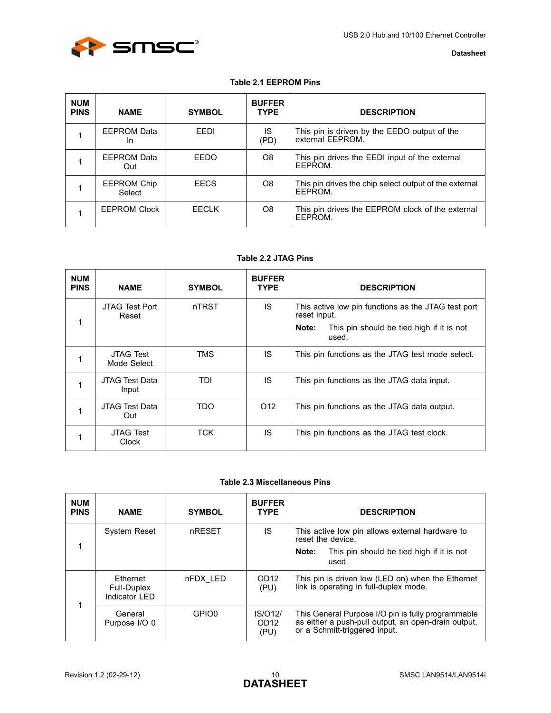

### **Table 2.1 EEPROM Pins**

<span id="page-9-0"></span>

| <b>NUM</b><br><b>PINS</b> | <b>NAME</b>                     | <b>SYMBOL</b> | <b>BUFFER</b><br><b>TYPE</b> | <b>DESCRIPTION</b>                                                |
|---------------------------|---------------------------------|---------------|------------------------------|-------------------------------------------------------------------|
|                           | <b>EEPROM Data</b><br><b>In</b> | FFDI          | IS<br>(PD)                   | This pin is driven by the EEDO output of the<br>external EEPROM.  |
|                           | EEPROM Data<br>Out              | EEDO          | O8                           | This pin drives the EEDI input of the external<br>FFPROM.         |
|                           | <b>EEPROM Chip</b><br>Select    | <b>EECS</b>   | O8                           | This pin drives the chip select output of the external<br>FFPROM. |
|                           | <b>EEPROM Clock</b>             | FFCI K        | O8                           | This pin drives the EEPROM clock of the external<br>EEPROM.       |

### **Table 2.2 JTAG Pins**

<span id="page-9-1"></span>

| <b>NUM</b><br><b>PINS</b> | <b>NAME</b>                     | <b>SYMBOL</b> | <b>BUFFER</b><br><b>TYPE</b> | <b>DESCRIPTION</b>                                                  |
|---------------------------|---------------------------------|---------------|------------------------------|---------------------------------------------------------------------|
|                           | JTAG Test Port<br>Reset         | nTRST         | IS                           | This active low pin functions as the JTAG test port<br>reset input. |
|                           |                                 |               |                              | This pin should be tied high if it is not<br>Note:<br>used.         |
|                           | <b>JTAG Test</b><br>Mode Select | TMS           | IS.                          | This pin functions as the JTAG test mode select.                    |
|                           | JTAG Test Data<br>Input         | TDI           | IS.                          | This pin functions as the JTAG data input.                          |
|                           | JTAG Test Data<br>Out           | <b>TDO</b>    | O <sub>12</sub>              | This pin functions as the JTAG data output.                         |
|                           | <b>JTAG Test</b><br>Clock       | TCK           | IS                           | This pin functions as the JTAG test clock.                          |

#### **Table 2.3 Miscellaneous Pins**

<span id="page-9-2"></span>

| <b>NUM</b><br><b>PINS</b> | <b>NAME</b>                               | <b>SYMBOL</b> | <b>BUFFER</b><br><b>TYPE</b>        | <b>DESCRIPTION</b>                                                                                                                         |
|---------------------------|-------------------------------------------|---------------|-------------------------------------|--------------------------------------------------------------------------------------------------------------------------------------------|
|                           | <b>System Reset</b>                       | nRESET        | IS                                  | This active low pin allows external hardware to<br>reset the device.                                                                       |
|                           |                                           |               |                                     | This pin should be tied high if it is not<br>Note:<br>used.                                                                                |
| 1                         | Ethernet<br>Full-Duplex<br>Indicator I FD | nFDX LED      | OD <sub>12</sub><br>(PU)            | This pin is driven low (LED on) when the Ethernet<br>link is operating in full-duplex mode.                                                |
|                           | General<br>Purpose I/O 0                  | GPIO0         | IS/012/<br>OD <sub>12</sub><br>(PU) | This General Purpose I/O pin is fully programmable<br>as either a push-pull output, an open-drain output,<br>or a Schmitt-triggered input. |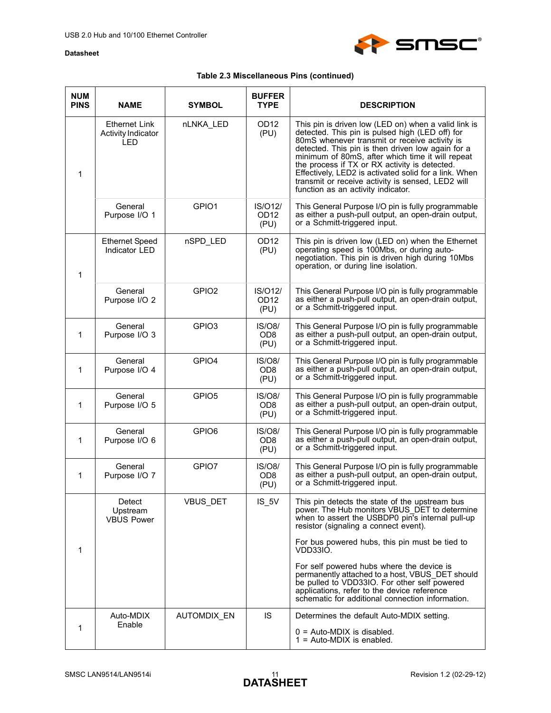

## **Table 2.3 Miscellaneous Pins (continued)**

| <b>NUM</b><br><b>PINS</b> | <b>NAME</b>                                       | <b>SYMBOL</b>     | <b>BUFFER</b><br><b>TYPE</b>        | <b>DESCRIPTION</b>                                                                                                                                                                                                                                                                                                                                                                                                                                                     |
|---------------------------|---------------------------------------------------|-------------------|-------------------------------------|------------------------------------------------------------------------------------------------------------------------------------------------------------------------------------------------------------------------------------------------------------------------------------------------------------------------------------------------------------------------------------------------------------------------------------------------------------------------|
| $\mathbf 1$               | Ethernet Link<br><b>Activity Indicator</b><br>LED | nLNKA_LED         | OD <sub>12</sub><br>(PU)            | This pin is driven low (LED on) when a valid link is<br>detected. This pin is pulsed high (LED off) for<br>80mS whenever transmit or receive activity is<br>detected. This pin is then driven low again for a<br>minimum of 80mS, after which time it will repeat<br>the process if TX or RX activity is detected.<br>Effectively, LED2 is activated solid for a link. When<br>transmit or receive activity is sensed, LED2 will<br>function as an activity indicator. |
|                           | General<br>Purpose I/O 1                          | GPIO1             | IS/012/<br>OD <sub>12</sub><br>(PU) | This General Purpose I/O pin is fully programmable<br>as either a push-pull output, an open-drain output,<br>or a Schmitt-triggered input.                                                                                                                                                                                                                                                                                                                             |
| $\mathbf{1}$              | <b>Ethernet Speed</b><br>Indicator LED            | nSPD_LED          | OD <sub>12</sub><br>(PU)            | This pin is driven low (LED on) when the Ethernet<br>operating speed is 100Mbs, or during auto-<br>negotiation. This pin is driven high during 10Mbs<br>operation, or during line isolation.                                                                                                                                                                                                                                                                           |
|                           | General<br>Purpose I/O 2                          | GPIO <sub>2</sub> | IS/012/<br>OD <sub>12</sub><br>(PU) | This General Purpose I/O pin is fully programmable<br>as either a push-pull output, an open-drain output,<br>or a Schmitt-triggered input.                                                                                                                                                                                                                                                                                                                             |
| $\mathbf 1$               | General<br>Purpose I/O 3                          | GPIO <sub>3</sub> | IS/08/<br>OD <sub>8</sub><br>(PU)   | This General Purpose I/O pin is fully programmable<br>as either a push-pull output, an open-drain output,<br>or a Schmitt-triggered input.                                                                                                                                                                                                                                                                                                                             |
| 1                         | General<br>Purpose I/O 4                          | GPIO4             | IS/08/<br>OD <sub>8</sub><br>(PU)   | This General Purpose I/O pin is fully programmable<br>as either a push-pull output, an open-drain output,<br>or a Schmitt-triggered input.                                                                                                                                                                                                                                                                                                                             |
| $\mathbf 1$               | General<br>Purpose I/O 5                          | GPIO <sub>5</sub> | IS/O8/<br>OD <sub>8</sub><br>(PU)   | This General Purpose I/O pin is fully programmable<br>as either a push-pull output, an open-drain output,<br>or a Schmitt-triggered input.                                                                                                                                                                                                                                                                                                                             |
| 1                         | General<br>Purpose I/O 6                          | GPIO6             | IS/08/<br>OD <sub>8</sub><br>(PU)   | This General Purpose I/O pin is fully programmable<br>as either a push-pull output, an open-drain output,<br>or a Schmitt-triggered input.                                                                                                                                                                                                                                                                                                                             |
| 1                         | General<br>Purpose I/O 7                          | GPIO7             | IS/08/<br>OD <sub>8</sub><br>(PU)   | This General Purpose I/O pin is fully programmable<br>as either a push-pull output, an open-drain output,<br>or a Schmitt-triggered input.                                                                                                                                                                                                                                                                                                                             |
|                           | Detect<br>Upstream<br><b>VBUS Power</b>           | VBUS_DET          | $IS_5V$                             | This pin detects the state of the upstream bus<br>power. The Hub monitors VBUS_DET to determine<br>when to assert the USBDP0 pin's internal pull-up<br>resistor (signaling a connect event).                                                                                                                                                                                                                                                                           |
| 1                         |                                                   |                   |                                     | For bus powered hubs, this pin must be tied to<br>VDD33IO.                                                                                                                                                                                                                                                                                                                                                                                                             |
|                           |                                                   |                   |                                     | For self powered hubs where the device is<br>permanently attached to a host, VBUS DET should<br>be pulled to VDD33IO. For other self powered<br>applications, refer to the device reference<br>schematic for additional connection information.                                                                                                                                                                                                                        |
|                           | Auto-MDIX<br>Enable                               | AUTOMDIX_EN       | IS                                  | Determines the default Auto-MDIX setting.                                                                                                                                                                                                                                                                                                                                                                                                                              |
| 1                         |                                                   |                   |                                     | $0 =$ Auto-MDIX is disabled.<br>$1 =$ Auto-MDIX is enabled.                                                                                                                                                                                                                                                                                                                                                                                                            |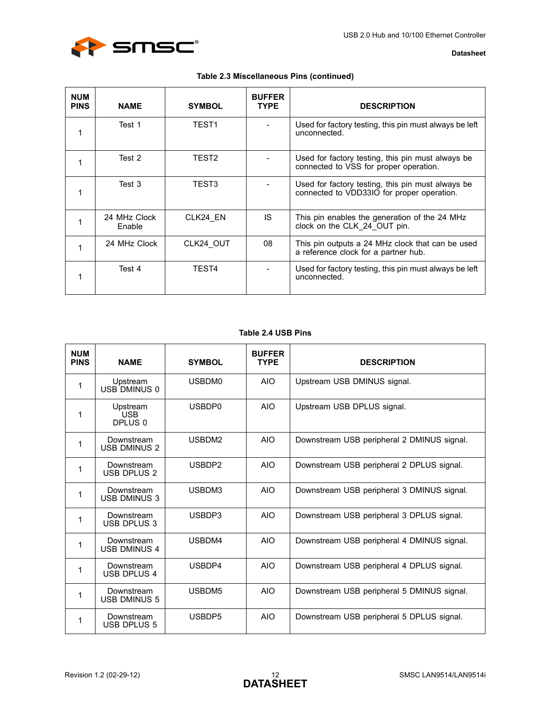

| <b>Datasheet</b> |  |
|------------------|--|
|------------------|--|

| Table 2.3 Miscellaneous Pins (continued) |  |  |  |  |  |  |
|------------------------------------------|--|--|--|--|--|--|
|------------------------------------------|--|--|--|--|--|--|

| <b>NUM</b><br><b>PINS</b> | <b>NAME</b>            | <b>SYMBOL</b>     | <b>BUFFER</b><br><b>TYPE</b> | <b>DESCRIPTION</b>                                                                              |
|---------------------------|------------------------|-------------------|------------------------------|-------------------------------------------------------------------------------------------------|
|                           | Test 1                 | TEST <sub>1</sub> |                              | Used for factory testing, this pin must always be left<br>unconnected.                          |
|                           | Test 2                 | TEST <sub>2</sub> |                              | Used for factory testing, this pin must always be<br>connected to VSS for proper operation.     |
|                           | Test 3                 | TEST3             |                              | Used for factory testing, this pin must always be<br>connected to VDD33IO for proper operation. |
|                           | 24 MHz Clock<br>Enable | CLK24 EN          | IS                           | This pin enables the generation of the 24 MHz<br>clock on the CLK 24 OUT pin.                   |
|                           | 24 MHz Clock           | CLK24 OUT         | 08                           | This pin outputs a 24 MHz clock that can be used<br>a reference clock for a partner hub.        |
|                           | Test 4                 | TEST4             |                              | Used for factory testing, this pin must always be left<br>unconnected.                          |

#### **Table 2.4 USB Pins**

<span id="page-11-0"></span>

| <b>NUM</b><br><b>PINS</b> | <b>NAME</b>                       | <b>SYMBOL</b> | <b>BUFFER</b><br><b>TYPE</b> | <b>DESCRIPTION</b>                         |
|---------------------------|-----------------------------------|---------------|------------------------------|--------------------------------------------|
| 1                         | Upstream<br>USB DMINUS 0          | USBDM0        | <b>AIO</b>                   | Upstream USB DMINUS signal.                |
| 1                         | Upstream<br><b>USB</b><br>DPLUS 0 | USBDP0        | <b>AIO</b>                   | Upstream USB DPLUS signal.                 |
| 1                         | Downstream<br><b>USB DMINUS 2</b> | USBDM2        | AIO                          | Downstream USB peripheral 2 DMINUS signal. |
| 1                         | Downstream<br><b>USB DPLUS 2</b>  | USBDP2        | <b>AIO</b>                   | Downstream USB peripheral 2 DPLUS signal.  |
| 1                         | Downstream<br><b>USB DMINUS 3</b> | USBDM3        | <b>AIO</b>                   | Downstream USB peripheral 3 DMINUS signal. |
| 1                         | Downstream<br><b>USB DPLUS 3</b>  | USBDP3        | <b>AIO</b>                   | Downstream USB peripheral 3 DPLUS signal.  |
| 1                         | Downstream<br><b>USB DMINUS 4</b> | USBDM4        | <b>AIO</b>                   | Downstream USB peripheral 4 DMINUS signal. |
| 1                         | Downstream<br>USB DPLUS 4         | USBDP4        | <b>AIO</b>                   | Downstream USB peripheral 4 DPLUS signal.  |
| 1                         | Downstream<br>USB DMINUS 5        | USBDM5        | <b>AIO</b>                   | Downstream USB peripheral 5 DMINUS signal. |
| 1                         | Downstream<br>USB DPLUS 5         | USBDP5        | <b>AIO</b>                   | Downstream USB peripheral 5 DPLUS signal.  |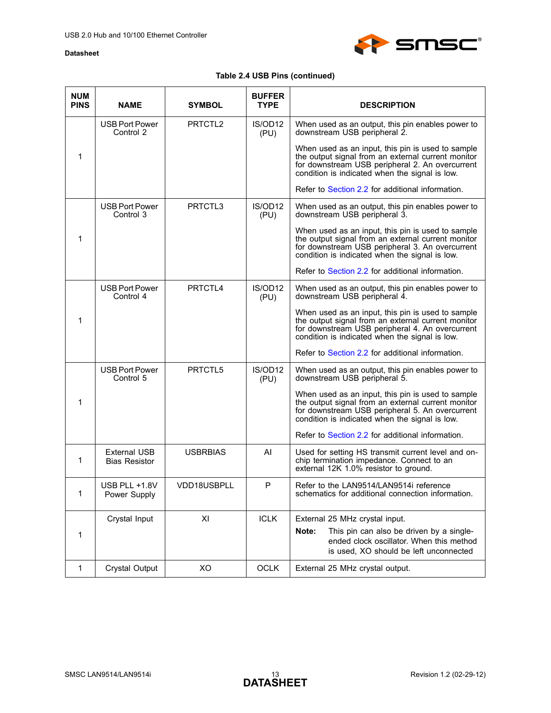

## **Table 2.4 USB Pins (continued)**

| <b>NUM</b><br><b>PINS</b> | <b>NAME</b>                                 | <b>SYMBOL</b>       | <b>BUFFER</b><br><b>TYPE</b> | <b>DESCRIPTION</b>                                                                                                                                                                                           |
|---------------------------|---------------------------------------------|---------------------|------------------------------|--------------------------------------------------------------------------------------------------------------------------------------------------------------------------------------------------------------|
|                           | <b>USB Port Power</b><br>Control 2          | PRTCTL <sub>2</sub> | IS/OD12<br>(PU)              | When used as an output, this pin enables power to<br>downstream USB peripheral 2.                                                                                                                            |
| 1                         |                                             |                     |                              | When used as an input, this pin is used to sample<br>the output signal from an external current monitor<br>for downstream USB peripheral 2. An overcurrent<br>condition is indicated when the signal is low. |
|                           |                                             |                     |                              | Refer to Section 2.2 for additional information.                                                                                                                                                             |
|                           | USB Port Power<br>Control 3                 | PRTCTL3             | IS/OD12<br>(PU)              | When used as an output, this pin enables power to<br>downstream USB peripheral 3.                                                                                                                            |
| $\mathbf 1$               |                                             |                     |                              | When used as an input, this pin is used to sample<br>the output signal from an external current monitor<br>for downstream USB peripheral 3. An overcurrent<br>condition is indicated when the signal is low. |
|                           |                                             |                     |                              | Refer to Section 2.2 for additional information.                                                                                                                                                             |
|                           | <b>USB Port Power</b><br>Control 4          | PRTCTL4             | IS/OD12<br>(PU)              | When used as an output, this pin enables power to<br>downstream USB peripheral 4.                                                                                                                            |
| $\mathbf 1$               |                                             |                     |                              | When used as an input, this pin is used to sample<br>the output signal from an external current monitor<br>for downstream USB peripheral 4. An overcurrent<br>condition is indicated when the signal is low. |
|                           |                                             |                     |                              | Refer to Section 2.2 for additional information.                                                                                                                                                             |
|                           | <b>USB Port Power</b><br>Control 5          | PRTCTL5             | IS/OD12<br>(PU)              | When used as an output, this pin enables power to<br>downstream USB peripheral 5.                                                                                                                            |
| 1                         |                                             |                     |                              | When used as an input, this pin is used to sample<br>the output signal from an external current monitor<br>for downstream USB peripheral 5. An overcurrent<br>condition is indicated when the signal is low. |
|                           |                                             |                     |                              | Refer to Section 2.2 for additional information.                                                                                                                                                             |
| $\mathbf{1}$              | <b>External USB</b><br><b>Bias Resistor</b> | <b>USBRBIAS</b>     | AI                           | Used for setting HS transmit current level and on-<br>chip termination impedance. Connect to an<br>external 12K 1.0% resistor to ground.                                                                     |
| 1                         | USB PLL +1.8V<br>Power Supply               | VDD18USBPLL         | P                            | Refer to the LAN9514/LAN9514i reference<br>schematics for additional connection information.                                                                                                                 |
|                           | Crystal Input                               | XI                  | <b>ICLK</b>                  | External 25 MHz crystal input.                                                                                                                                                                               |
| 1                         |                                             |                     |                              | Note:<br>This pin can also be driven by a single-<br>ended clock oscillator. When this method<br>is used, XO should be left unconnected                                                                      |
| $\mathbf{1}$              | Crystal Output                              | XO                  | OCLK                         | External 25 MHz crystal output.                                                                                                                                                                              |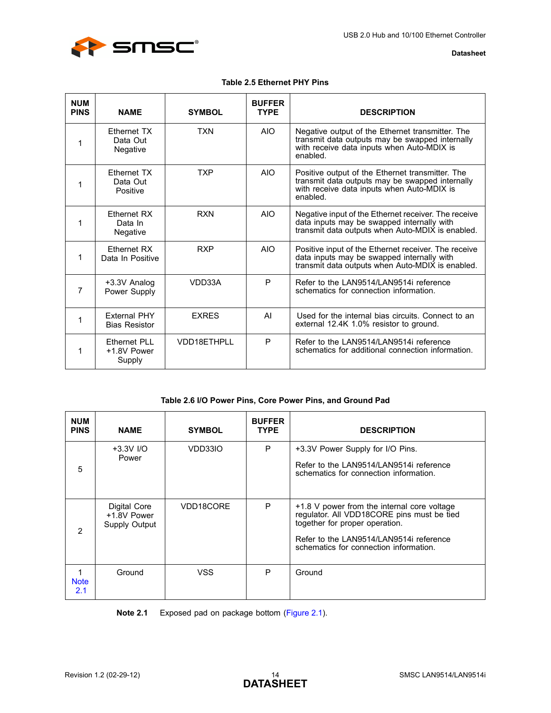

#### **Table 2.5 Ethernet PHY Pins**

<span id="page-13-0"></span>

| <b>NUM</b><br><b>PINS</b> | <b>NAME</b>                                  | <b>SYMBOL</b> | <b>BUFFER</b><br><b>TYPE</b> | <b>DESCRIPTION</b>                                                                                                                                            |
|---------------------------|----------------------------------------------|---------------|------------------------------|---------------------------------------------------------------------------------------------------------------------------------------------------------------|
| 1                         | Ethernet TX<br>Data Out<br>Negative          | <b>TXN</b>    | AIO.                         | Negative output of the Ethernet transmitter. The<br>transmit data outputs may be swapped internally<br>with receive data inputs when Auto-MDIX is<br>enabled. |
| 1                         | Ethernet TX<br>Data Out<br>Positive          | <b>TXP</b>    | <b>AIO</b>                   | Positive output of the Ethernet transmitter. The<br>transmit data outputs may be swapped internally<br>with receive data inputs when Auto-MDIX is<br>enabled. |
| 1                         | Ethernet RX<br>Data In<br>Negative           | <b>RXN</b>    | <b>AIO</b>                   | Negative input of the Ethernet receiver. The receive<br>data inputs may be swapped internally with<br>transmit data outputs when Auto-MDIX is enabled.        |
| 1                         | <b>Fthernet RX</b><br>Data In Positive       | <b>RXP</b>    | <b>AIO</b>                   | Positive input of the Ethernet receiver. The receive<br>data inputs may be swapped internally with<br>transmit data outputs when Auto-MDIX is enabled.        |
| 7                         | +3.3V Analog<br>Power Supply                 | VDD33A        | P                            | Refer to the LAN9514/LAN9514i reference<br>schematics for connection information.                                                                             |
| 1                         | <b>Fxternal PHY</b><br><b>Bias Resistor</b>  | <b>EXRES</b>  | AI                           | Used for the internal bias circuits. Connect to an<br>external 12.4K 1.0% resistor to ground.                                                                 |
| 1                         | <b>Ethernet PLL</b><br>+1.8V Power<br>Supply | VDD18ETHPLL   | P                            | Refer to the LAN9514/LAN9514i reference<br>schematics for additional connection information.                                                                  |

#### **Table 2.6 I/O Power Pins, Core Power Pins, and Ground Pad**

<span id="page-13-1"></span>

| <b>NUM</b><br><b>PINS</b> | <b>NAME</b>                                         | <b>SYMBOL</b> | <b>BUFFER</b><br><b>TYPE</b> | <b>DESCRIPTION</b>                                                                                                                                                                                               |
|---------------------------|-----------------------------------------------------|---------------|------------------------------|------------------------------------------------------------------------------------------------------------------------------------------------------------------------------------------------------------------|
| 5                         | $+3.3V$ I/O<br>Power                                | VDD33IO       | P                            | +3.3V Power Supply for I/O Pins.<br>Refer to the LAN9514/LAN9514i reference<br>schematics for connection information.                                                                                            |
| $\overline{2}$            | Digital Core<br>+1.8V Power<br><b>Supply Output</b> | VDD18CORE     | P                            | +1.8 V power from the internal core voltage<br>regulator. All VDD18CORE pins must be tied<br>together for proper operation.<br>Refer to the LAN9514/LAN9514i reference<br>schematics for connection information. |
| <b>Note</b><br>2.1        | Ground                                              | VSS           | P                            | Ground                                                                                                                                                                                                           |

<span id="page-13-2"></span>**Note 2.1** Exposed pad on package bottom [\(Figure 2.1\)](#page-8-1).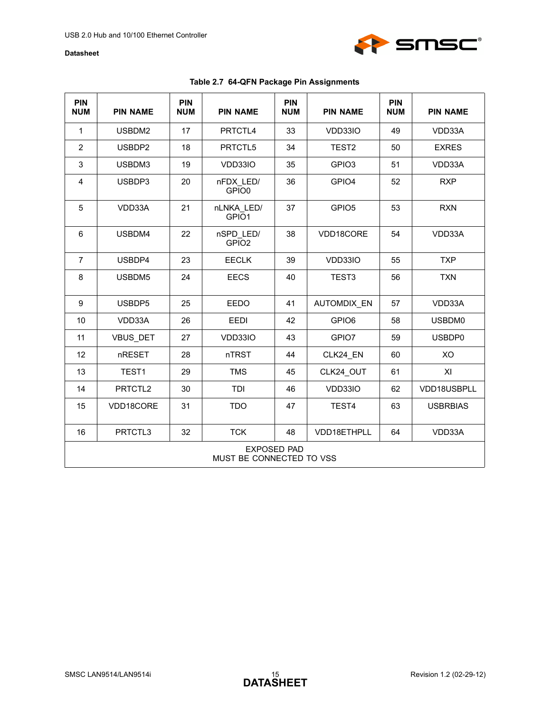

<span id="page-14-0"></span>

| <b>PIN</b><br><b>NUM</b>                       | <b>PIN NAME</b> | <b>PIN</b><br><b>NUM</b> | <b>PIN NAME</b>                 | <b>PIN</b><br><b>NUM</b> | <b>PIN NAME</b>    | <b>PIN</b><br><b>NUM</b> | <b>PIN NAME</b> |
|------------------------------------------------|-----------------|--------------------------|---------------------------------|--------------------------|--------------------|--------------------------|-----------------|
| $\mathbf{1}$                                   | USBDM2          | 17                       | PRTCTL4                         | 33                       | VDD33IO            | 49                       | VDD33A          |
| $\overline{2}$                                 | USBDP2          | 18                       | PRTCTL5                         | 34                       | TEST <sub>2</sub>  | 50                       | <b>EXRES</b>    |
| 3                                              | USBDM3          | 19                       | VDD33IO                         | 35                       | GPIO <sub>3</sub>  | 51                       | VDD33A          |
| 4                                              | USBDP3          | 20                       | nFDX LED/<br>GPIO0              | 36                       | GPIO4              | 52                       | <b>RXP</b>      |
| 5                                              | VDD33A          | 21                       | nLNKA LED/<br>GPIO <sub>1</sub> | 37                       | GPIO <sub>5</sub>  | 53                       | <b>RXN</b>      |
| $\,6\,$                                        | USBDM4          | 22                       | nSPD LED/<br>GPIO <sub>2</sub>  | 38                       | VDD18CORE          | 54                       | VDD33A          |
| $\overline{7}$                                 | USBDP4          | 23                       | <b>EECLK</b>                    | 39                       | VDD33IO            | 55                       | <b>TXP</b>      |
| 8                                              | USBDM5          | 24                       | <b>EECS</b>                     | 40                       | TEST <sub>3</sub>  | 56                       | <b>TXN</b>      |
| $\boldsymbol{9}$                               | USBDP5          | 25                       | <b>EEDO</b>                     | 41                       | <b>AUTOMDIX EN</b> | 57                       | VDD33A          |
| 10                                             | VDD33A          | 26                       | EEDI                            | 42                       | GPIO6              | 58                       | USBDM0          |
| 11                                             | VBUS_DET        | 27                       | VDD33IO                         | 43                       | GPIO7              | 59                       | USBDP0          |
| 12                                             | nRESET          | 28                       | nTRST                           | 44                       | CLK24 EN           | 60                       | XO              |
| 13                                             | TEST1           | 29                       | <b>TMS</b>                      | 45                       | CLK24 OUT          | 61                       | XI              |
| 14                                             | PRTCTL2         | 30                       | TDI                             | 46                       | VDD33IO            | 62                       | VDD18USBPLL     |
| 15                                             | VDD18CORE       | 31                       | <b>TDO</b>                      | 47                       | TEST <sub>4</sub>  | 63                       | <b>USBRBIAS</b> |
| 16                                             | PRTCTL3         | 32                       | <b>TCK</b>                      | 48                       | VDD18ETHPLL        | 64                       | VDD33A          |
| <b>EXPOSED PAD</b><br>MUST BE CONNECTED TO VSS |                 |                          |                                 |                          |                    |                          |                 |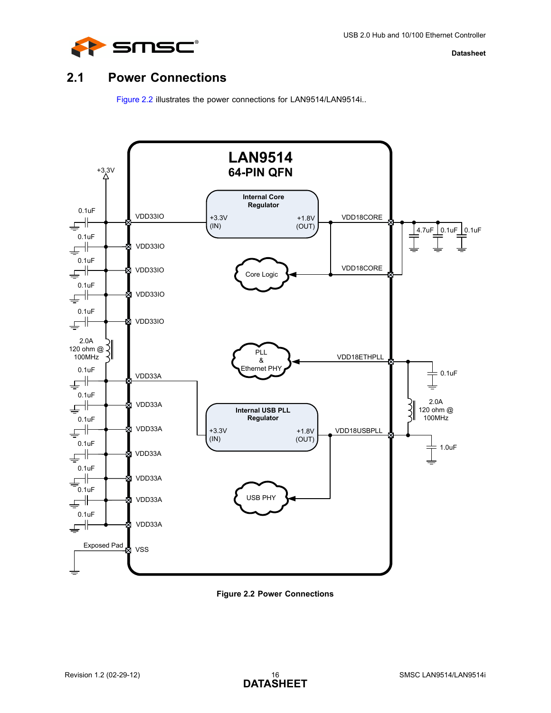

## <span id="page-15-0"></span>**2.1 Power Connections**

<span id="page-15-2"></span>[Figure 2.2](#page-15-1) illustrates the power connections for LAN9514/LAN9514i..



<span id="page-15-1"></span>**Figure 2.2 Power Connections**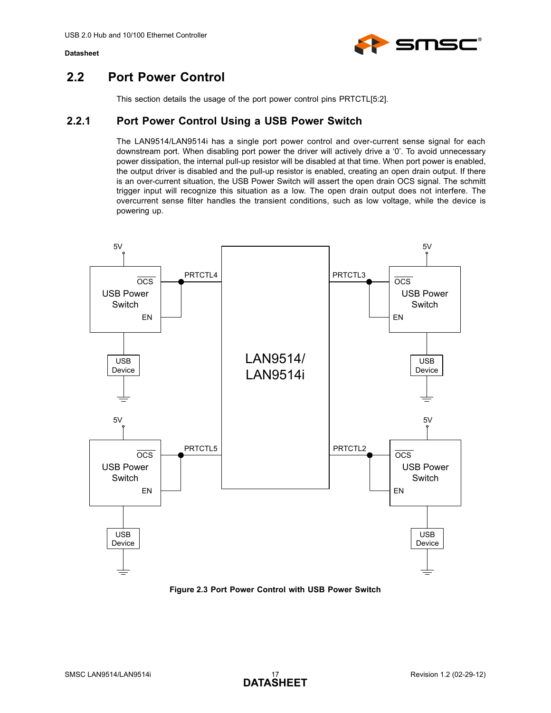

## <span id="page-16-0"></span>**2.2 Port Power Control**

This section details the usage of the port power control pins PRTCTL[5:2].

## <span id="page-16-1"></span>**2.2.1 Port Power Control Using a USB Power Switch**

The LAN9514/LAN9514i has a single port power control and over-current sense signal for each downstream port. When disabling port power the driver will actively drive a '0'. To avoid unnecessary power dissipation, the internal pull-up resistor will be disabled at that time. When port power is enabled, the output driver is disabled and the pull-up resistor is enabled, creating an open drain output. If there is an over-current situation, the USB Power Switch will assert the open drain OCS signal. The schmitt trigger input will recognize this situation as a low. The open drain output does not interfere. The overcurrent sense filter handles the transient conditions, such as low voltage, while the device is powering up.



<span id="page-16-2"></span>**Figure 2.3 Port Power Control with USB Power Switch**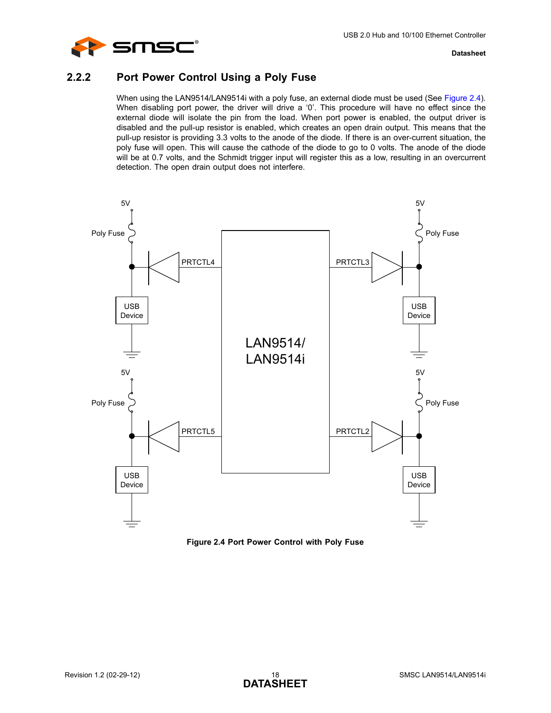

## <span id="page-17-0"></span>**2.2.2 Port Power Control Using a Poly Fuse**

When using the LAN9514/LAN9514i with a poly fuse, an external diode must be used (See [Figure 2.4\)](#page-17-1). When disabling port power, the driver will drive a '0'. This procedure will have no effect since the external diode will isolate the pin from the load. When port power is enabled, the output driver is disabled and the pull-up resistor is enabled, which creates an open drain output. This means that the pull-up resistor is providing 3.3 volts to the anode of the diode. If there is an over-current situation, the poly fuse will open. This will cause the cathode of the diode to go to 0 volts. The anode of the diode will be at 0.7 volts, and the Schmidt trigger input will register this as a low, resulting in an overcurrent detection. The open drain output does not interfere.



<span id="page-17-1"></span>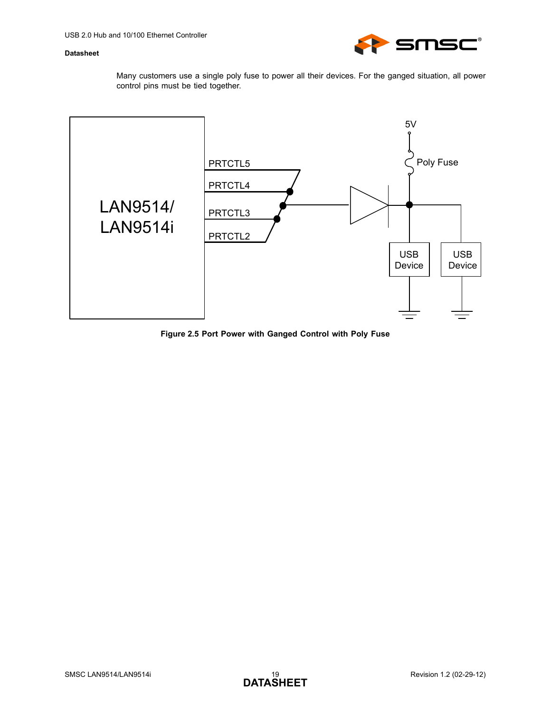

Many customers use a single poly fuse to power all their devices. For the ganged situation, all power control pins must be tied together.



<span id="page-18-0"></span>**Figure 2.5 Port Power with Ganged Control with Poly Fuse**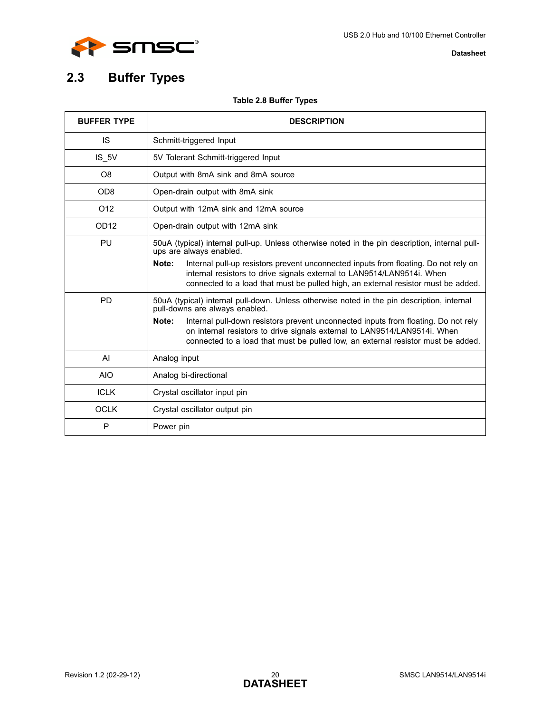

# <span id="page-19-0"></span>**2.3 Buffer Types**

### **Table 2.8 Buffer Types**

<span id="page-19-1"></span>

| <b>BUFFER TYPE</b> | <b>DESCRIPTION</b>                                                                                                                                                                                                                                           |
|--------------------|--------------------------------------------------------------------------------------------------------------------------------------------------------------------------------------------------------------------------------------------------------------|
| <b>IS</b>          | Schmitt-triggered Input                                                                                                                                                                                                                                      |
| IS 5V              | 5V Tolerant Schmitt-triggered Input                                                                                                                                                                                                                          |
| O <sub>8</sub>     | Output with 8mA sink and 8mA source                                                                                                                                                                                                                          |
| OD <sub>8</sub>    | Open-drain output with 8mA sink                                                                                                                                                                                                                              |
| O <sub>12</sub>    | Output with 12mA sink and 12mA source                                                                                                                                                                                                                        |
| OD <sub>12</sub>   | Open-drain output with 12mA sink                                                                                                                                                                                                                             |
| PU                 | 50uA (typical) internal pull-up. Unless otherwise noted in the pin description, internal pull-<br>ups are always enabled.                                                                                                                                    |
|                    | Internal pull-up resistors prevent unconnected inputs from floating. Do not rely on<br>Note:<br>internal resistors to drive signals external to LAN9514/LAN9514i. When<br>connected to a load that must be pulled high, an external resistor must be added.  |
| <b>PD</b>          | 50uA (typical) internal pull-down. Unless otherwise noted in the pin description, internal<br>pull-downs are always enabled.                                                                                                                                 |
|                    | Note:<br>Internal pull-down resistors prevent unconnected inputs from floating. Do not rely<br>on internal resistors to drive signals external to LAN9514/LAN9514i. When<br>connected to a load that must be pulled low, an external resistor must be added. |
| AI                 | Analog input                                                                                                                                                                                                                                                 |
| <b>AIO</b>         | Analog bi-directional                                                                                                                                                                                                                                        |
| <b>ICLK</b>        | Crystal oscillator input pin                                                                                                                                                                                                                                 |
| <b>OCLK</b>        | Crystal oscillator output pin                                                                                                                                                                                                                                |
| P                  | Power pin                                                                                                                                                                                                                                                    |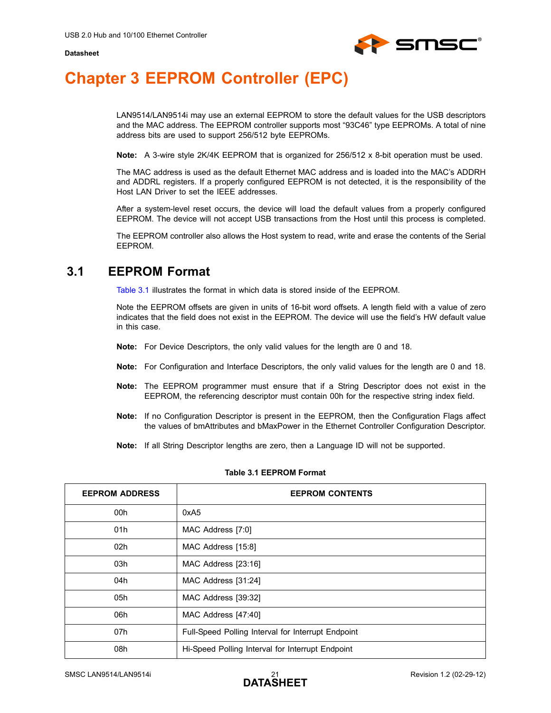

# <span id="page-20-0"></span>**Chapter 3 EEPROM Controller (EPC)**

<span id="page-20-3"></span>LAN9514/LAN9514i may use an external EEPROM to store the default values for the USB descriptors and the MAC address. The EEPROM controller supports most "93C46" type EEPROMs. A total of nine address bits are used to support 256/512 byte EEPROMs.

**Note:** A 3-wire style 2K/4K EEPROM that is organized for 256/512 x 8-bit operation must be used.

The MAC address is used as the default Ethernet MAC address and is loaded into the MAC's ADDRH and ADDRL registers. If a properly configured EEPROM is not detected, it is the responsibility of the Host LAN Driver to set the IEEE addresses.

After a system-level reset occurs, the device will load the default values from a properly configured EEPROM. The device will not accept USB transactions from the Host until this process is completed.

The EEPROM controller also allows the Host system to read, write and erase the contents of the Serial EEPROM.

## <span id="page-20-1"></span>**3.1 EEPROM Format**

[Table 3.1](#page-20-2) illustrates the format in which data is stored inside of the EEPROM.

Note the EEPROM offsets are given in units of 16-bit word offsets. A length field with a value of zero indicates that the field does not exist in the EEPROM. The device will use the field's HW default value in this case.

- **Note:** For Device Descriptors, the only valid values for the length are 0 and 18.
- **Note:** For Configuration and Interface Descriptors, the only valid values for the length are 0 and 18.
- **Note:** The EEPROM programmer must ensure that if a String Descriptor does not exist in the EEPROM, the referencing descriptor must contain 00h for the respective string index field.
- **Note:** If no Configuration Descriptor is present in the EEPROM, then the Configuration Flags affect the values of bmAttributes and bMaxPower in the Ethernet Controller Configuration Descriptor.
- **Note:** If all String Descriptor lengths are zero, then a Language ID will not be supported.

<span id="page-20-2"></span>

| <b>EEPROM ADDRESS</b> | <b>EEPROM CONTENTS</b>                             |
|-----------------------|----------------------------------------------------|
| 00h                   | 0xA <sub>5</sub>                                   |
| 01h                   | MAC Address [7:0]                                  |
| 02h                   | MAC Address [15:8]                                 |
| 03h                   | MAC Address [23:16]                                |
| 04h                   | MAC Address [31:24]                                |
| 05h                   | MAC Address [39:32]                                |
| 06h                   | MAC Address [47:40]                                |
| 07h                   | Full-Speed Polling Interval for Interrupt Endpoint |
| 08h                   | Hi-Speed Polling Interval for Interrupt Endpoint   |

#### **Table 3.1 EEPROM Format**

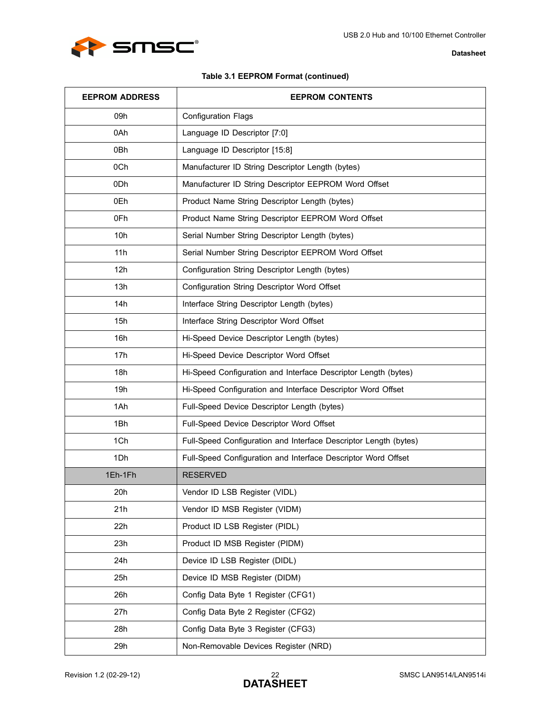

### **Table 3.1 EEPROM Format (continued)**

| <b>EEPROM ADDRESS</b> | <b>EEPROM CONTENTS</b>                                           |
|-----------------------|------------------------------------------------------------------|
| 09h                   | <b>Configuration Flags</b>                                       |
| 0Ah                   | Language ID Descriptor [7:0]                                     |
| 0Bh                   | Language ID Descriptor [15:8]                                    |
| 0Ch                   | Manufacturer ID String Descriptor Length (bytes)                 |
| 0 <sub>Dh</sub>       | Manufacturer ID String Descriptor EEPROM Word Offset             |
| 0Eh                   | Product Name String Descriptor Length (bytes)                    |
| 0Fh                   | Product Name String Descriptor EEPROM Word Offset                |
| 10h                   | Serial Number String Descriptor Length (bytes)                   |
| 11h                   | Serial Number String Descriptor EEPROM Word Offset               |
| 12h                   | Configuration String Descriptor Length (bytes)                   |
| 13h                   | Configuration String Descriptor Word Offset                      |
| 14h                   | Interface String Descriptor Length (bytes)                       |
| 15h                   | Interface String Descriptor Word Offset                          |
| 16h                   | Hi-Speed Device Descriptor Length (bytes)                        |
| 17h                   | Hi-Speed Device Descriptor Word Offset                           |
| 18h                   | Hi-Speed Configuration and Interface Descriptor Length (bytes)   |
| 19h                   | Hi-Speed Configuration and Interface Descriptor Word Offset      |
| 1Ah                   | Full-Speed Device Descriptor Length (bytes)                      |
| 1Bh                   | Full-Speed Device Descriptor Word Offset                         |
| 1Ch                   | Full-Speed Configuration and Interface Descriptor Length (bytes) |
| 1Dh                   | Full-Speed Configuration and Interface Descriptor Word Offset    |
| 1Eh-1Fh               | <b>RESERVED</b>                                                  |
| 20h                   | Vendor ID LSB Register (VIDL)                                    |
| 21h                   | Vendor ID MSB Register (VIDM)                                    |
| 22h                   | Product ID LSB Register (PIDL)                                   |
| 23h                   | Product ID MSB Register (PIDM)                                   |
| 24h                   | Device ID LSB Register (DIDL)                                    |
| 25h                   | Device ID MSB Register (DIDM)                                    |
| 26h                   | Config Data Byte 1 Register (CFG1)                               |
| 27h                   | Config Data Byte 2 Register (CFG2)                               |
| 28h                   | Config Data Byte 3 Register (CFG3)                               |
| 29h                   | Non-Removable Devices Register (NRD)                             |

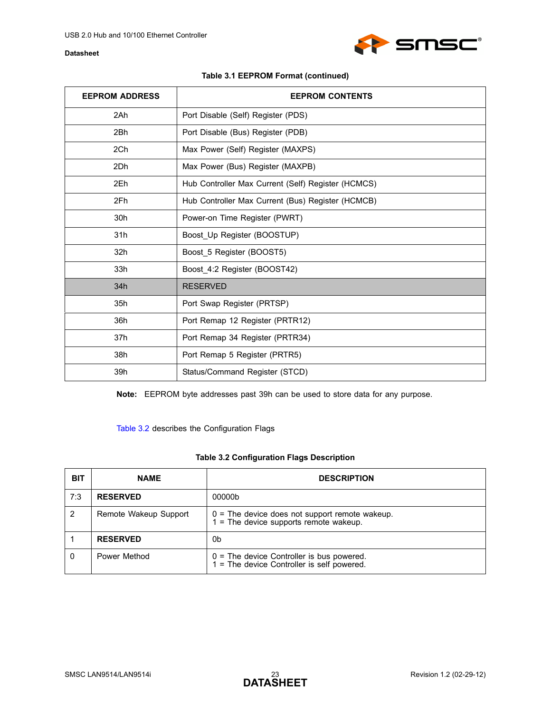

| <b>EEPROM ADDRESS</b> | <b>EEPROM CONTENTS</b>                             |
|-----------------------|----------------------------------------------------|
| 2Ah                   | Port Disable (Self) Register (PDS)                 |
| 2Bh                   | Port Disable (Bus) Register (PDB)                  |
| 2Ch                   | Max Power (Self) Register (MAXPS)                  |
| 2Dh                   | Max Power (Bus) Register (MAXPB)                   |
| 2Eh                   | Hub Controller Max Current (Self) Register (HCMCS) |
| 2Fh                   | Hub Controller Max Current (Bus) Register (HCMCB)  |
| 30h                   | Power-on Time Register (PWRT)                      |
| 31h                   | Boost Up Register (BOOSTUP)                        |
| 32h                   | Boost 5 Register (BOOST5)                          |
| 33h                   | Boost_4:2 Register (BOOST42)                       |
| 34h                   | <b>RESERVED</b>                                    |
| 35h                   | Port Swap Register (PRTSP)                         |
| 36h                   | Port Remap 12 Register (PRTR12)                    |
| 37h                   | Port Remap 34 Register (PRTR34)                    |
| 38h                   | Port Remap 5 Register (PRTR5)                      |
| 39h                   | Status/Command Register (STCD)                     |

**Note:** EEPROM byte addresses past 39h can be used to store data for any purpose.

[Table 3.2](#page-22-0) describes the Configuration Flags

### **Table 3.2 Configuration Flags Description**

<span id="page-22-0"></span>

| <b>BIT</b> | <b>NAME</b>           | <b>DESCRIPTION</b>                                                                           |
|------------|-----------------------|----------------------------------------------------------------------------------------------|
| 7:3        | <b>RESERVED</b>       | 00000b                                                                                       |
| 2          | Remote Wakeup Support | $0 =$ The device does not support remote wakeup.<br>$1$ = The device supports remote wakeup. |
|            | <b>RESERVED</b>       | 0b                                                                                           |
|            | Power Method          | $0 =$ The device Controller is bus powered.<br>1 = The device Controller is self powered.    |

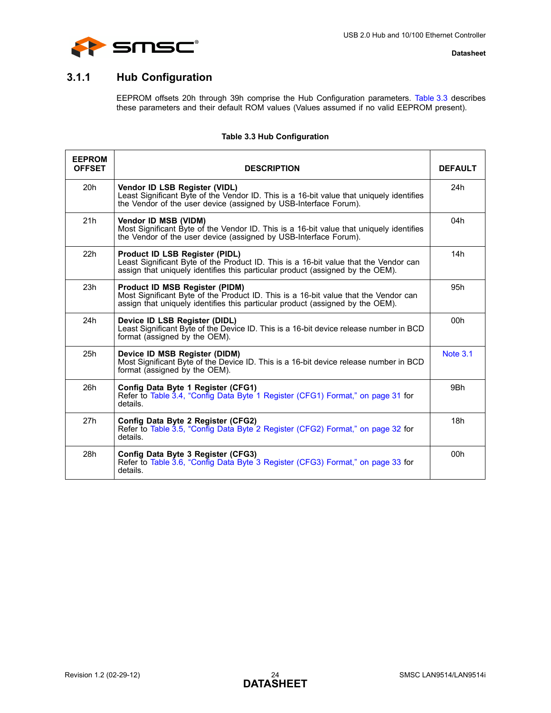



## <span id="page-23-0"></span>**3.1.1 Hub Configuration**

EEPROM offsets 20h through 39h comprise the Hub Configuration parameters. [Table 3.3](#page-23-1) describes these parameters and their default ROM values (Values assumed if no valid EEPROM present).

### **Table 3.3 Hub Configuration**

<span id="page-23-1"></span>

| <b>EEPROM</b><br><b>OFFSET</b> | <b>DESCRIPTION</b>                                                                                                                                                                                       | <b>DEFAULT</b>  |
|--------------------------------|----------------------------------------------------------------------------------------------------------------------------------------------------------------------------------------------------------|-----------------|
| 20h                            | Vendor ID LSB Register (VIDL)<br>Least Significant Byte of the Vendor ID. This is a 16-bit value that uniquely identifies<br>the Vendor of the user device (assigned by USB-Interface Forum).            | 24h             |
| 21h                            | Vendor ID MSB (VIDM)<br>Most Significant Byte of the Vendor ID. This is a 16-bit value that uniquely identifies<br>the Vendor of the user device (assigned by USB-Interface Forum).                      | 04h             |
| 22h                            | Product ID LSB Register (PIDL)<br>Least Significant Byte of the Product ID. This is a 16-bit value that the Vendor can<br>assign that uniquely identifies this particular product (assigned by the OEM). | 14h             |
| 23h                            | Product ID MSB Register (PIDM)<br>Most Significant Byte of the Product ID. This is a 16-bit value that the Vendor can<br>assign that uniquely identifies this particular product (assigned by the OEM).  | 95h             |
| 24h                            | Device ID LSB Register (DIDL)<br>Least Significant Byte of the Device ID. This is a 16-bit device release number in BCD<br>format (assigned by the OEM).                                                 | 00h             |
| 25h                            | Device ID MSB Register (DIDM)<br>Most Significant Byte of the Device ID. This is a 16-bit device release number in BCD<br>format (assigned by the OEM).                                                  | <b>Note 3.1</b> |
| 26h                            | Config Data Byte 1 Register (CFG1)<br>Refer to Table 3.4, "Config Data Byte 1 Register (CFG1) Format," on page 31 for<br>details.                                                                        | 9Bh             |
| 27h                            | Config Data Byte 2 Register (CFG2)<br>Refer to Table 3.5, "Config Data Byte 2 Register (CFG2) Format," on page 32 for<br>details.                                                                        | 18h             |
| 28h                            | Config Data Byte 3 Register (CFG3)<br>Refer to Table 3.6, "Config Data Byte 3 Register (CFG3) Format," on page 33 for<br>details.                                                                        | 00h             |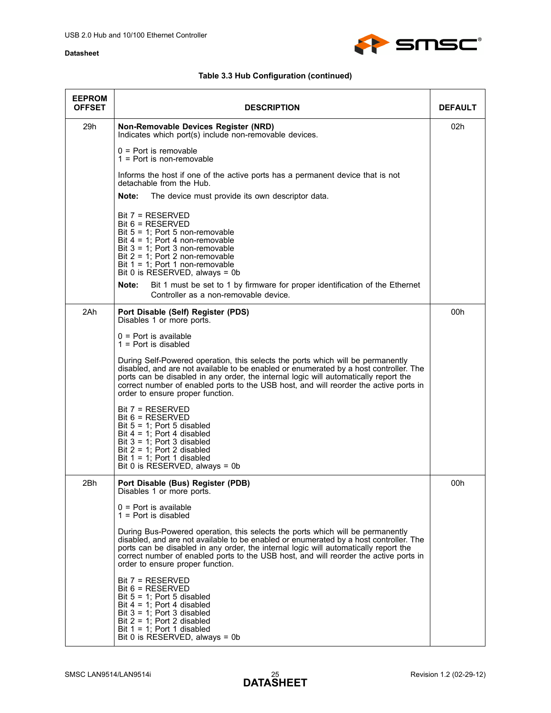

| <b>EEPROM</b><br><b>OFFSET</b> | <b>DESCRIPTION</b>                                                                                                                                                                                                                                                                                                                                                                            | <b>DEFAULT</b> |
|--------------------------------|-----------------------------------------------------------------------------------------------------------------------------------------------------------------------------------------------------------------------------------------------------------------------------------------------------------------------------------------------------------------------------------------------|----------------|
| 29h                            | Non-Removable Devices Register (NRD)<br>Indicates which port(s) include non-removable devices.                                                                                                                                                                                                                                                                                                | 02h            |
|                                | $0 =$ Port is removable<br>$1 =$ Port is non-removable                                                                                                                                                                                                                                                                                                                                        |                |
|                                | Informs the host if one of the active ports has a permanent device that is not<br>detachable from the Hub.                                                                                                                                                                                                                                                                                    |                |
|                                | Note:<br>The device must provide its own descriptor data.                                                                                                                                                                                                                                                                                                                                     |                |
|                                | $Bit 7 = RESERVED$<br>$Bit 6 = RESERVED$<br>Bit $5 = 1$ ; Port 5 non-removable<br>Bit $4 = 1$ ; Port 4 non-removable<br>Bit $3 = 1$ ; Port 3 non-removable<br>Bit $2 = 1$ ; Port 2 non-removable<br>Bit $1 = 1$ ; Port 1 non-removable<br>Bit 0 is RESERVED, always = 0b                                                                                                                      |                |
|                                | Note:<br>Bit 1 must be set to 1 by firmware for proper identification of the Ethernet<br>Controller as a non-removable device.                                                                                                                                                                                                                                                                |                |
| 2Ah                            | Port Disable (Self) Register (PDS)<br>Disables 1 or more ports.                                                                                                                                                                                                                                                                                                                               | 00h            |
|                                | $0 =$ Port is available<br>$1 =$ Port is disabled                                                                                                                                                                                                                                                                                                                                             |                |
|                                | During Self-Powered operation, this selects the ports which will be permanently<br>disabled, and are not available to be enabled or enumerated by a host controller. The<br>ports can be disabled in any order, the internal logic will automatically report the<br>correct number of enabled ports to the USB host, and will reorder the active ports in<br>order to ensure proper function. |                |
|                                | $Bit 7 = RESERVED$<br>$Bit 6 = RESERVED$<br>Bit $5 = 1$ ; Port 5 disabled<br>Bit $4 = 1$ ; Port 4 disabled<br>Bit $3 = 1$ ; Port 3 disabled<br>Bit $2 = 1$ ; Port 2 disabled<br>Bit $1 = 1$ ; Port 1 disabled<br>Bit 0 is RESERVED, always = 0b                                                                                                                                               |                |
| 2Bh                            | Port Disable (Bus) Register (PDB)<br>Disables 1 or more ports.                                                                                                                                                                                                                                                                                                                                | 00h            |
|                                | $0 =$ Port is available<br>$1 =$ Port is disabled                                                                                                                                                                                                                                                                                                                                             |                |
|                                | During Bus-Powered operation, this selects the ports which will be permanently<br>disabled, and are not available to be enabled or enumerated by a host controller. The<br>ports can be disabled in any order, the internal logic will automatically report the<br>correct number of enabled ports to the USB host, and will reorder the active ports in<br>order to ensure proper function.  |                |
|                                | $Bit 7 = RESERVED$<br>$Bit 6 = RESERVED$<br>Bit $5 = 1$ ; Port 5 disabled<br>Bit $4 = 1$ ; Port 4 disabled<br>Bit $3 = 1$ ; Port 3 disabled<br>Bit $2 = 1$ ; Port 2 disabled<br>Bit $1 = 1$ ; Port 1 disabled<br>Bit 0 is RESERVED, always = 0b                                                                                                                                               |                |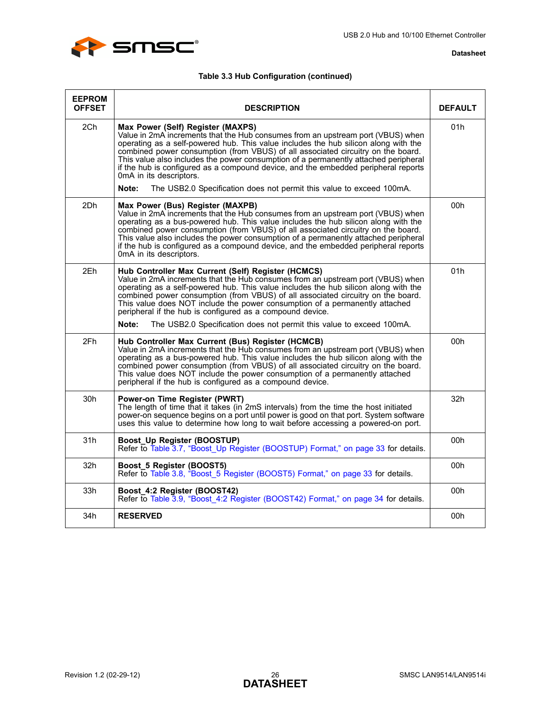

| <b>EEPROM</b><br><b>OFFSET</b> | <b>DESCRIPTION</b>                                                                                                                                                                                                                                                                                                                                                                                                                                                                                                                            | <b>DEFAULT</b> |
|--------------------------------|-----------------------------------------------------------------------------------------------------------------------------------------------------------------------------------------------------------------------------------------------------------------------------------------------------------------------------------------------------------------------------------------------------------------------------------------------------------------------------------------------------------------------------------------------|----------------|
| 2Ch                            | Max Power (Self) Register (MAXPS)<br>Value in 2mA increments that the Hub consumes from an upstream port (VBUS) when<br>operating as a self-powered hub. This value includes the hub silicon along with the<br>combined power consumption (from VBUS) of all associated circuitry on the board.<br>This value also includes the power consumption of a permanently attached peripheral<br>if the hub is configured as a compound device, and the embedded peripheral reports<br>0mA in its descriptors.                                       | 01h            |
|                                | The USB2.0 Specification does not permit this value to exceed 100mA.<br>Note:                                                                                                                                                                                                                                                                                                                                                                                                                                                                 |                |
| 2Dh                            | Max Power (Bus) Register (MAXPB)<br>Value in 2mA increments that the Hub consumes from an upstream port (VBUS) when<br>operating as a bus-powered hub. This value includes the hub silicon along with the<br>combined power consumption (from VBUS) of all associated circuitry on the board.<br>This value also includes the power consumption of a permanently attached peripheral<br>if the hub is configured as a compound device, and the embedded peripheral reports<br>0mA in its descriptors.                                         | 00h            |
| 2Eh                            | Hub Controller Max Current (Self) Register (HCMCS)<br>Value in 2mA increments that the Hub consumes from an upstream port (VBUS) when<br>operating as a self-powered hub. This value includes the hub silicon along with the<br>combined power consumption (from VBUS) of all associated circuitry on the board.<br>This value does NOT include the power consumption of a permanently attached<br>peripheral if the hub is configured as a compound device.<br>Note:<br>The USB2.0 Specification does not permit this value to exceed 100mA. | 01h            |
| 2Fh                            | Hub Controller Max Current (Bus) Register (HCMCB)<br>Value in 2mA increments that the Hub consumes from an upstream port (VBUS) when<br>operating as a bus-powered hub. This value includes the hub silicon along with the<br>combined power consumption (from VBUS) of all associated circuitry on the board.<br>This value does NOT include the power consumption of a permanently attached<br>peripheral if the hub is configured as a compound device.                                                                                    | 00h            |
| 30h                            | Power-on Time Register (PWRT)<br>The length of time that it takes (in 2mS intervals) from the time the host initiated<br>power-on sequence begins on a port until power is good on that port. System software<br>uses this value to determine how long to wait before accessing a powered-on port.                                                                                                                                                                                                                                            | 32h            |
| 31h                            | Boost_Up Register (BOOSTUP)<br>Refer to Table 3.7, "Boost Up Register (BOOSTUP) Format," on page 33 for details.                                                                                                                                                                                                                                                                                                                                                                                                                              | 00h            |
| 32h                            | Boost_5 Register (BOOST5)<br>Refer to Table 3.8, "Boost 5 Register (BOOST5) Format," on page 33 for details.                                                                                                                                                                                                                                                                                                                                                                                                                                  | 00h            |
| 33 <sub>h</sub>                | Boost_4:2 Register (BOOST42)<br>Refer to Table 3.9, "Boost 4:2 Register (BOOST42) Format," on page 34 for details.                                                                                                                                                                                                                                                                                                                                                                                                                            | 00h            |
| 34h                            | <b>RESERVED</b>                                                                                                                                                                                                                                                                                                                                                                                                                                                                                                                               | 00h            |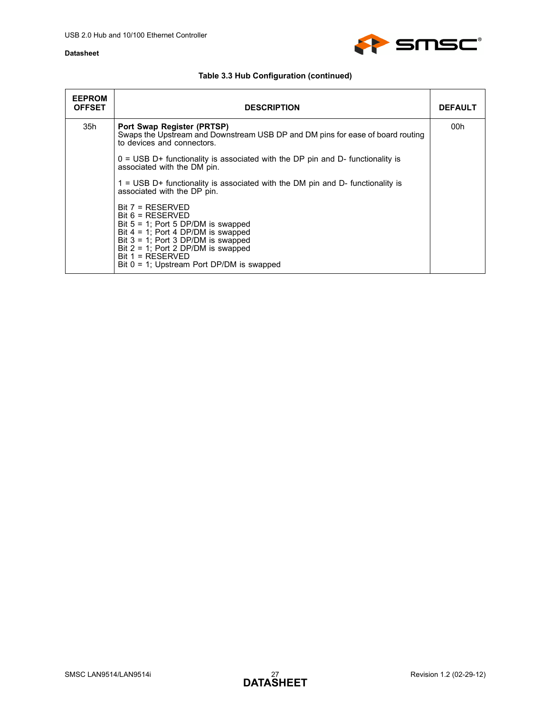

| <b>EEPROM</b><br><b>OFFSET</b> | <b>DESCRIPTION</b>                                                                                                                                                                                                                                                                 | <b>DEFAULT</b> |
|--------------------------------|------------------------------------------------------------------------------------------------------------------------------------------------------------------------------------------------------------------------------------------------------------------------------------|----------------|
| 35h                            | Port Swap Register (PRTSP)<br>Swaps the Upstream and Downstream USB DP and DM pins for ease of board routing<br>to devices and connectors.                                                                                                                                         | 00h            |
|                                | $0 = USB D+$ functionality is associated with the DP pin and D- functionality is<br>associated with the DM pin.                                                                                                                                                                    |                |
|                                | $1 =$ USB D+ functionality is associated with the DM pin and D- functionality is<br>associated with the DP pin.                                                                                                                                                                    |                |
|                                | $Bit 7 = RESERVED$<br>$Bit 6 = RESERVED$<br>Bit $5 = 1$ ; Port 5 DP/DM is swapped<br>Bit $4 = 1$ ; Port 4 DP/DM is swapped<br>Bit $3 = 1$ ; Port 3 DP/DM is swapped<br>Bit $2 = 1$ ; Port 2 DP/DM is swapped<br>$Bit 1 = RESERVED$<br>Bit $0 = 1$ ; Upstream Port DP/DM is swapped |                |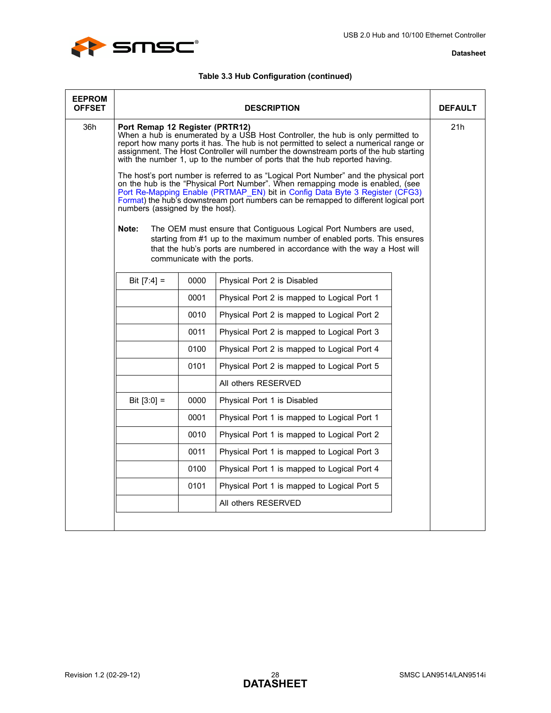

| <b>EEPROM</b><br><b>OFFSET</b> |                                                                             |      | <b>DESCRIPTION</b>                                                                                                                                                                                                                                                                                                                                                                                                                                                                                                                                                                                                                                                                                                                                                                                                                                                                                                                                           | <b>DEFAULT</b> |
|--------------------------------|-----------------------------------------------------------------------------|------|--------------------------------------------------------------------------------------------------------------------------------------------------------------------------------------------------------------------------------------------------------------------------------------------------------------------------------------------------------------------------------------------------------------------------------------------------------------------------------------------------------------------------------------------------------------------------------------------------------------------------------------------------------------------------------------------------------------------------------------------------------------------------------------------------------------------------------------------------------------------------------------------------------------------------------------------------------------|----------------|
| 36h                            | Port Remap 12 Register (PRTR12)<br>numbers (assigned by the host).<br>Note: |      | When a hub is enumerated by a USB Host Controller, the hub is only permitted to<br>report how many ports it has. The hub is not permitted to select a numerical range or<br>assignment. The Host Controller will number the downstream ports of the hub starting<br>with the number 1, up to the number of ports that the hub reported having.<br>The host's port number is referred to as "Logical Port Number" and the physical port<br>on the hub is the "Physical Port Number". When remapping mode is enabled, (see<br>Port Re-Mapping Enable (PRTMAP EN) bit in Config Data Byte 3 Register (CFG3)<br>Format) the hub's downstream port numbers can be remapped to different logical port<br>The OEM must ensure that Contiguous Logical Port Numbers are used,<br>starting from #1 up to the maximum number of enabled ports. This ensures<br>that the hub's ports are numbered in accordance with the way a Host will<br>communicate with the ports. | 21h            |
|                                | Bit $[7:4] =$                                                               | 0000 | Physical Port 2 is Disabled                                                                                                                                                                                                                                                                                                                                                                                                                                                                                                                                                                                                                                                                                                                                                                                                                                                                                                                                  |                |
|                                |                                                                             | 0001 | Physical Port 2 is mapped to Logical Port 1                                                                                                                                                                                                                                                                                                                                                                                                                                                                                                                                                                                                                                                                                                                                                                                                                                                                                                                  |                |
|                                |                                                                             | 0010 | Physical Port 2 is mapped to Logical Port 2                                                                                                                                                                                                                                                                                                                                                                                                                                                                                                                                                                                                                                                                                                                                                                                                                                                                                                                  |                |
|                                |                                                                             | 0011 | Physical Port 2 is mapped to Logical Port 3                                                                                                                                                                                                                                                                                                                                                                                                                                                                                                                                                                                                                                                                                                                                                                                                                                                                                                                  |                |
|                                |                                                                             | 0100 | Physical Port 2 is mapped to Logical Port 4                                                                                                                                                                                                                                                                                                                                                                                                                                                                                                                                                                                                                                                                                                                                                                                                                                                                                                                  |                |
|                                |                                                                             | 0101 | Physical Port 2 is mapped to Logical Port 5                                                                                                                                                                                                                                                                                                                                                                                                                                                                                                                                                                                                                                                                                                                                                                                                                                                                                                                  |                |
|                                |                                                                             |      | All others RESERVED                                                                                                                                                                                                                                                                                                                                                                                                                                                                                                                                                                                                                                                                                                                                                                                                                                                                                                                                          |                |
|                                | Bit $[3:0] =$                                                               | 0000 | Physical Port 1 is Disabled                                                                                                                                                                                                                                                                                                                                                                                                                                                                                                                                                                                                                                                                                                                                                                                                                                                                                                                                  |                |
|                                |                                                                             | 0001 | Physical Port 1 is mapped to Logical Port 1                                                                                                                                                                                                                                                                                                                                                                                                                                                                                                                                                                                                                                                                                                                                                                                                                                                                                                                  |                |
|                                |                                                                             | 0010 | Physical Port 1 is mapped to Logical Port 2                                                                                                                                                                                                                                                                                                                                                                                                                                                                                                                                                                                                                                                                                                                                                                                                                                                                                                                  |                |
|                                |                                                                             | 0011 | Physical Port 1 is mapped to Logical Port 3                                                                                                                                                                                                                                                                                                                                                                                                                                                                                                                                                                                                                                                                                                                                                                                                                                                                                                                  |                |
|                                |                                                                             | 0100 | Physical Port 1 is mapped to Logical Port 4                                                                                                                                                                                                                                                                                                                                                                                                                                                                                                                                                                                                                                                                                                                                                                                                                                                                                                                  |                |
|                                |                                                                             | 0101 | Physical Port 1 is mapped to Logical Port 5                                                                                                                                                                                                                                                                                                                                                                                                                                                                                                                                                                                                                                                                                                                                                                                                                                                                                                                  |                |
|                                |                                                                             |      | All others RESERVED                                                                                                                                                                                                                                                                                                                                                                                                                                                                                                                                                                                                                                                                                                                                                                                                                                                                                                                                          |                |
|                                |                                                                             |      |                                                                                                                                                                                                                                                                                                                                                                                                                                                                                                                                                                                                                                                                                                                                                                                                                                                                                                                                                              |                |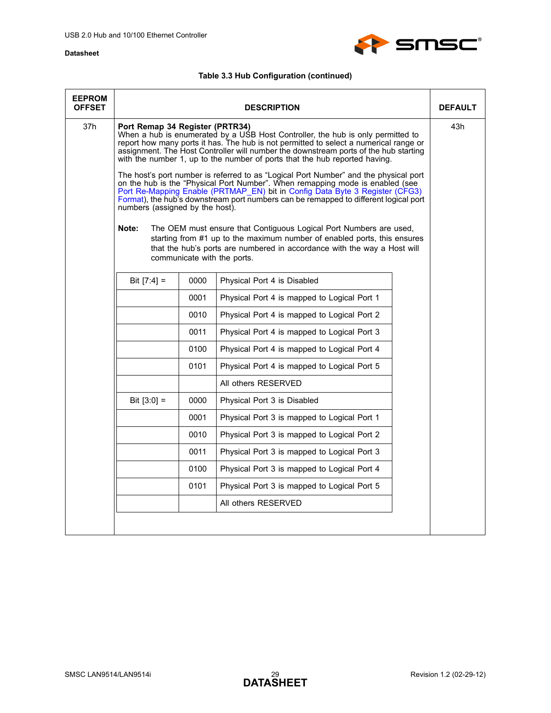

| <b>EEPROM</b><br><b>OFFSET</b> |                                                                             |                             | <b>DESCRIPTION</b>                                                                                                                                                                                                                                                                                                                                                                                                                                                                                                                                                                                                                                                                                                                                                                                                                                | <b>DEFAULT</b> |
|--------------------------------|-----------------------------------------------------------------------------|-----------------------------|---------------------------------------------------------------------------------------------------------------------------------------------------------------------------------------------------------------------------------------------------------------------------------------------------------------------------------------------------------------------------------------------------------------------------------------------------------------------------------------------------------------------------------------------------------------------------------------------------------------------------------------------------------------------------------------------------------------------------------------------------------------------------------------------------------------------------------------------------|----------------|
| 37h                            | Port Remap 34 Register (PRTR34)<br>numbers (assigned by the host).<br>Note: |                             | When a hub is enumerated by a USB Host Controller, the hub is only permitted to<br>report how many ports it has. The hub is not permitted to select a numerical range or<br>assignment. The Host Controller will number the downstream ports of the hub starting<br>with the number 1, up to the number of ports that the hub reported having.<br>The host's port number is referred to as "Logical Port Number" and the physical port<br>on the hub is the "Physical Port Number". When remapping mode is enabled (see<br>Port Re-Mapping Enable (PRTMAP_EN) bit in Config Data Byte 3 Register (CFG3)<br>Format), the hub's downstream port numbers can be remapped to different logical port<br>The OEM must ensure that Contiguous Logical Port Numbers are used,<br>starting from #1 up to the maximum number of enabled ports, this ensures | 43h            |
|                                |                                                                             | communicate with the ports. | that the hub's ports are numbered in accordance with the way a Host will                                                                                                                                                                                                                                                                                                                                                                                                                                                                                                                                                                                                                                                                                                                                                                          |                |
|                                | Bit $[7:4] =$                                                               | 0000                        | Physical Port 4 is Disabled                                                                                                                                                                                                                                                                                                                                                                                                                                                                                                                                                                                                                                                                                                                                                                                                                       |                |
|                                |                                                                             | 0001                        | Physical Port 4 is mapped to Logical Port 1                                                                                                                                                                                                                                                                                                                                                                                                                                                                                                                                                                                                                                                                                                                                                                                                       |                |
|                                |                                                                             | 0010                        | Physical Port 4 is mapped to Logical Port 2                                                                                                                                                                                                                                                                                                                                                                                                                                                                                                                                                                                                                                                                                                                                                                                                       |                |
|                                |                                                                             | 0011                        | Physical Port 4 is mapped to Logical Port 3                                                                                                                                                                                                                                                                                                                                                                                                                                                                                                                                                                                                                                                                                                                                                                                                       |                |
|                                |                                                                             | 0100                        | Physical Port 4 is mapped to Logical Port 4                                                                                                                                                                                                                                                                                                                                                                                                                                                                                                                                                                                                                                                                                                                                                                                                       |                |
|                                |                                                                             | 0101                        | Physical Port 4 is mapped to Logical Port 5                                                                                                                                                                                                                                                                                                                                                                                                                                                                                                                                                                                                                                                                                                                                                                                                       |                |
|                                |                                                                             |                             | All others RESERVED                                                                                                                                                                                                                                                                                                                                                                                                                                                                                                                                                                                                                                                                                                                                                                                                                               |                |
|                                | Bit $[3:0] =$                                                               | 0000                        | Physical Port 3 is Disabled                                                                                                                                                                                                                                                                                                                                                                                                                                                                                                                                                                                                                                                                                                                                                                                                                       |                |
|                                |                                                                             | 0001                        | Physical Port 3 is mapped to Logical Port 1                                                                                                                                                                                                                                                                                                                                                                                                                                                                                                                                                                                                                                                                                                                                                                                                       |                |
|                                |                                                                             | 0010                        | Physical Port 3 is mapped to Logical Port 2                                                                                                                                                                                                                                                                                                                                                                                                                                                                                                                                                                                                                                                                                                                                                                                                       |                |
|                                |                                                                             | 0011                        | Physical Port 3 is mapped to Logical Port 3                                                                                                                                                                                                                                                                                                                                                                                                                                                                                                                                                                                                                                                                                                                                                                                                       |                |
|                                |                                                                             | 0100                        | Physical Port 3 is mapped to Logical Port 4                                                                                                                                                                                                                                                                                                                                                                                                                                                                                                                                                                                                                                                                                                                                                                                                       |                |
|                                |                                                                             | 0101                        | Physical Port 3 is mapped to Logical Port 5                                                                                                                                                                                                                                                                                                                                                                                                                                                                                                                                                                                                                                                                                                                                                                                                       |                |
|                                |                                                                             |                             | All others RESERVED                                                                                                                                                                                                                                                                                                                                                                                                                                                                                                                                                                                                                                                                                                                                                                                                                               |                |
|                                |                                                                             |                             |                                                                                                                                                                                                                                                                                                                                                                                                                                                                                                                                                                                                                                                                                                                                                                                                                                                   |                |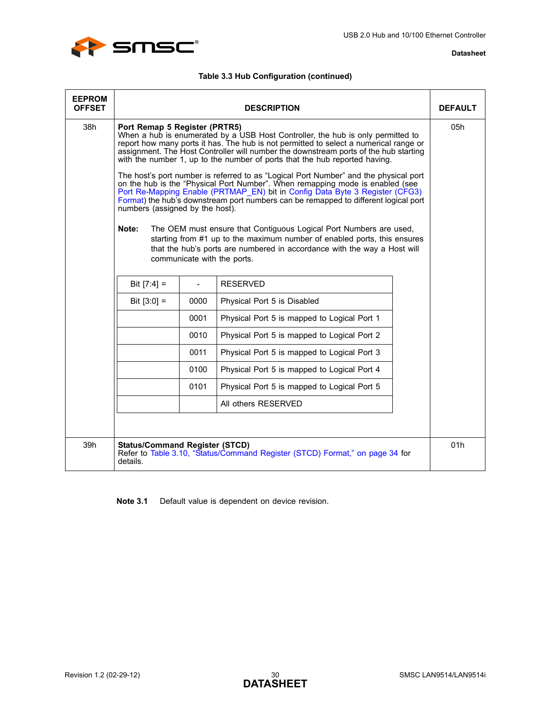

### **Table 3.3 Hub Configuration (continued)**

| <b>EEPROM</b><br><b>OFFSET</b> |                                                                           |      | <b>DESCRIPTION</b>                                                                                                                                                                                                                                                                                                                                                                                                                                                                                                                                                                                                                                                                                                                                                                                                                                                                                                                                          | <b>DEFAULT</b> |
|--------------------------------|---------------------------------------------------------------------------|------|-------------------------------------------------------------------------------------------------------------------------------------------------------------------------------------------------------------------------------------------------------------------------------------------------------------------------------------------------------------------------------------------------------------------------------------------------------------------------------------------------------------------------------------------------------------------------------------------------------------------------------------------------------------------------------------------------------------------------------------------------------------------------------------------------------------------------------------------------------------------------------------------------------------------------------------------------------------|----------------|
| 38h                            | Port Remap 5 Register (PRTR5)<br>numbers (assigned by the host).<br>Note: |      | When a hub is enumerated by a USB Host Controller, the hub is only permitted to<br>report how many ports it has. The hub is not permitted to select a numerical range or<br>assignment. The Host Controller will number the downstream ports of the hub starting<br>with the number 1, up to the number of ports that the hub reported having.<br>The host's port number is referred to as "Logical Port Number" and the physical port<br>on the hub is the "Physical Port Number". When remapping mode is enabled (see<br>Port Re-Mapping Enable (PRTMAP_EN) bit in Config Data Byte 3 Register (CFG3)<br>Format) the hub's downstream port numbers can be remapped to different logical port<br>The OEM must ensure that Contiguous Logical Port Numbers are used,<br>starting from #1 up to the maximum number of enabled ports, this ensures<br>that the hub's ports are numbered in accordance with the way a Host will<br>communicate with the ports. | 05h            |
|                                | Bit $[7:4] =$                                                             |      | <b>RESERVED</b>                                                                                                                                                                                                                                                                                                                                                                                                                                                                                                                                                                                                                                                                                                                                                                                                                                                                                                                                             |                |
|                                | Bit $[3:0] =$                                                             | 0000 | Physical Port 5 is Disabled                                                                                                                                                                                                                                                                                                                                                                                                                                                                                                                                                                                                                                                                                                                                                                                                                                                                                                                                 |                |
|                                |                                                                           | 0001 | Physical Port 5 is mapped to Logical Port 1                                                                                                                                                                                                                                                                                                                                                                                                                                                                                                                                                                                                                                                                                                                                                                                                                                                                                                                 |                |
|                                |                                                                           | 0010 | Physical Port 5 is mapped to Logical Port 2                                                                                                                                                                                                                                                                                                                                                                                                                                                                                                                                                                                                                                                                                                                                                                                                                                                                                                                 |                |
|                                |                                                                           | 0011 | Physical Port 5 is mapped to Logical Port 3                                                                                                                                                                                                                                                                                                                                                                                                                                                                                                                                                                                                                                                                                                                                                                                                                                                                                                                 |                |
|                                |                                                                           | 0100 | Physical Port 5 is mapped to Logical Port 4                                                                                                                                                                                                                                                                                                                                                                                                                                                                                                                                                                                                                                                                                                                                                                                                                                                                                                                 |                |
|                                |                                                                           | 0101 | Physical Port 5 is mapped to Logical Port 5                                                                                                                                                                                                                                                                                                                                                                                                                                                                                                                                                                                                                                                                                                                                                                                                                                                                                                                 |                |
|                                |                                                                           |      | All others RESERVED                                                                                                                                                                                                                                                                                                                                                                                                                                                                                                                                                                                                                                                                                                                                                                                                                                                                                                                                         |                |
|                                |                                                                           |      |                                                                                                                                                                                                                                                                                                                                                                                                                                                                                                                                                                                                                                                                                                                                                                                                                                                                                                                                                             |                |
| 39h                            | <b>Status/Command Register (STCD)</b><br>details.                         |      | Refer to Table 3.10, "Status/Command Register (STCD) Format," on page 34 for                                                                                                                                                                                                                                                                                                                                                                                                                                                                                                                                                                                                                                                                                                                                                                                                                                                                                | 01h            |

<span id="page-29-0"></span>**Note 3.1** Default value is dependent on device revision.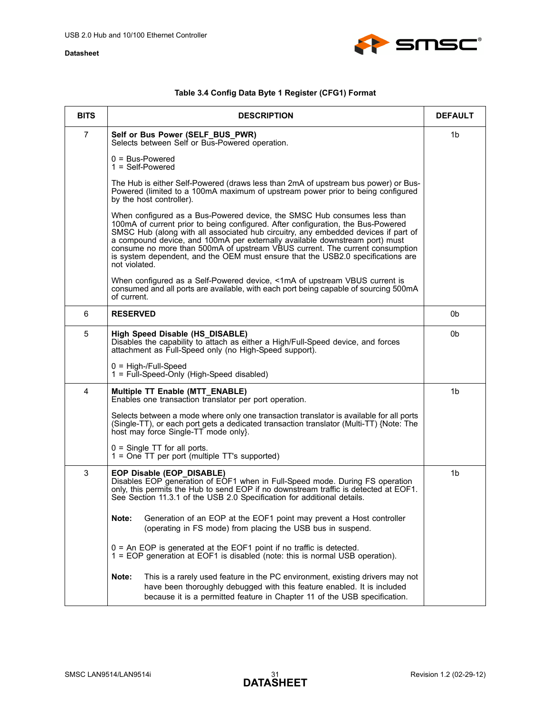

## **Table 3.4 Config Data Byte 1 Register (CFG1) Format**

<span id="page-30-0"></span>

| <b>BITS</b>    | <b>DESCRIPTION</b>                                                                                                                                                                                                                                                                                                                                                                                                                                                                                                    | <b>DEFAULT</b> |
|----------------|-----------------------------------------------------------------------------------------------------------------------------------------------------------------------------------------------------------------------------------------------------------------------------------------------------------------------------------------------------------------------------------------------------------------------------------------------------------------------------------------------------------------------|----------------|
| $\overline{7}$ | Self or Bus Power (SELF_BUS_PWR)<br>Selects between Self or Bus-Powered operation.                                                                                                                                                                                                                                                                                                                                                                                                                                    | 1b             |
|                | $0 = Bus-Powered$<br>$1 = Self-Powered$                                                                                                                                                                                                                                                                                                                                                                                                                                                                               |                |
|                | The Hub is either Self-Powered (draws less than 2mA of upstream bus power) or Bus-<br>Powered (limited to a 100mA maximum of upstream power prior to being configured<br>by the host controller).                                                                                                                                                                                                                                                                                                                     |                |
|                | When configured as a Bus-Powered device, the SMSC Hub consumes less than<br>100mA of current prior to being configured. After configuration, the Bus-Powered<br>SMSC Hub (along with all associated hub circuitry, any embedded devices if part of<br>a compound device, and 100mA per externally available downstream port) must<br>consume no more than 500mA of upstream VBUS current. The current consumption<br>is system dependent, and the OEM must ensure that the USB2.0 specifications are<br>not violated. |                |
|                | When configured as a Self-Powered device, <1mA of upstream VBUS current is<br>consumed and all ports are available, with each port being capable of sourcing 500mA<br>of current.                                                                                                                                                                                                                                                                                                                                     |                |
| 6              | <b>RESERVED</b>                                                                                                                                                                                                                                                                                                                                                                                                                                                                                                       | 0b             |
| 5              | High Speed Disable (HS_DISABLE)<br>Disables the capability to attach as either a High/Full-Speed device, and forces<br>attachment as Full-Speed only (no High-Speed support).                                                                                                                                                                                                                                                                                                                                         | 0b             |
|                | $0 = High-$ /Full-Speed<br>1 = Full-Speed-Only (High-Speed disabled)                                                                                                                                                                                                                                                                                                                                                                                                                                                  |                |
| 4              | Multiple TT Enable (MTT_ENABLE)<br>Enables one transaction translator per port operation.                                                                                                                                                                                                                                                                                                                                                                                                                             | 1 <sub>b</sub> |
|                | Selects between a mode where only one transaction translator is available for all ports<br>(Single-TT), or each port gets a dedicated transaction translator (Multi-TT) {Note: The<br>host may force Single-TT mode only}.                                                                                                                                                                                                                                                                                            |                |
|                | $0 =$ Single TT for all ports.<br>1 = One TT per port (multiple TT's supported)                                                                                                                                                                                                                                                                                                                                                                                                                                       |                |
| 3              | EOP Disable (EOP_DISABLE)<br>Disables EOP generation of EOF1 when in Full-Speed mode. During FS operation<br>only, this permits the Hub to send EOP if no downstream traffic is detected at EOF1.<br>See Section 11.3.1 of the USB 2.0 Specification for additional details.                                                                                                                                                                                                                                          | 1b             |
|                | Generation of an EOP at the EOF1 point may prevent a Host controller<br>Note:<br>(operating in FS mode) from placing the USB bus in suspend.                                                                                                                                                                                                                                                                                                                                                                          |                |
|                | $0 = An EOP$ is generated at the EOF1 point if no traffic is detected.<br>1 = EOP generation at EOF1 is disabled (note: this is normal USB operation).                                                                                                                                                                                                                                                                                                                                                                |                |
|                | This is a rarely used feature in the PC environment, existing drivers may not<br>Note:<br>have been thoroughly debugged with this feature enabled. It is included<br>because it is a permitted feature in Chapter 11 of the USB specification.                                                                                                                                                                                                                                                                        |                |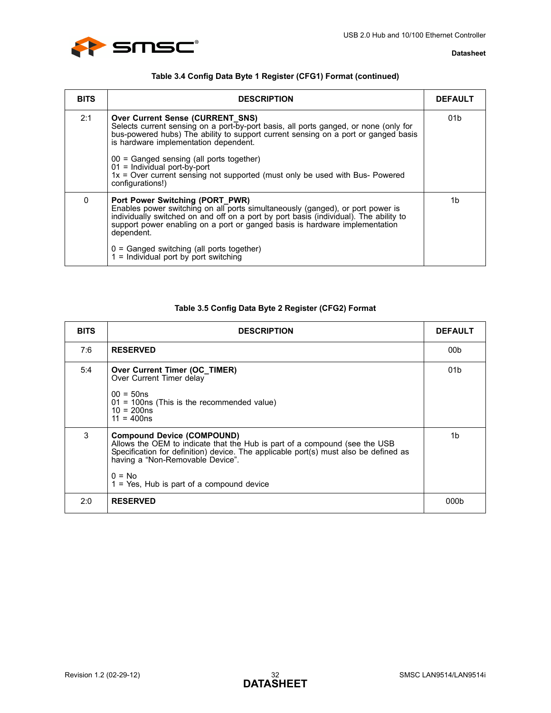

### **Table 3.4 Config Data Byte 1 Register (CFG1) Format (continued)**

| <b>BITS</b> | <b>DESCRIPTION</b>                                                                                                                                                                                                                                                                                                                                                                                                                               | <b>DEFAULT</b>  |
|-------------|--------------------------------------------------------------------------------------------------------------------------------------------------------------------------------------------------------------------------------------------------------------------------------------------------------------------------------------------------------------------------------------------------------------------------------------------------|-----------------|
| 2:1         | <b>Over Current Sense (CURRENT SNS)</b><br>Selects current sensing on a port-by-port basis, all ports ganged, or none (only for<br>bus-powered hubs) The ability to support current sensing on a port or ganged basis<br>is hardware implementation dependent.<br>00 = Ganged sensing (all ports together)<br>$01 =$ Individual port-by-port<br>1x = Over current sensing not supported (must only be used with Bus- Powered<br>configurations!) | 01 <sub>b</sub> |
| 0           | Port Power Switching (PORT PWR)<br>Enables power switching on all ports simultaneously (ganged), or port power is<br>individually switched on and off on a port by port basis (individual). The ability to<br>support power enabling on a port or ganged basis is hardware implementation<br>dependent.<br>$0 =$ Ganged switching (all ports together)<br>$1 =$ Individual port by port switching                                                | 1b              |

## **Table 3.5 Config Data Byte 2 Register (CFG2) Format**

<span id="page-31-0"></span>

| <b>BITS</b> | <b>DESCRIPTION</b>                                                                                                                                                                                                                                                                                      | <b>DEFAULT</b>  |
|-------------|---------------------------------------------------------------------------------------------------------------------------------------------------------------------------------------------------------------------------------------------------------------------------------------------------------|-----------------|
| 7:6         | <b>RESERVED</b>                                                                                                                                                                                                                                                                                         | 00b             |
| 5:4         | Over Current Timer (OC_TIMER)<br>Over Current Timer delay<br>$00 = 50$ ns<br>$01 = 100$ ns (This is the recommended value)<br>$10 = 200ns$<br>$11 = 400ns$                                                                                                                                              | 01 <sub>b</sub> |
| 3           | <b>Compound Device (COMPOUND)</b><br>Allows the OEM to indicate that the Hub is part of a compound (see the USB<br>Specification for definition) device. The applicable port(s) must also be defined as<br>having a "Non-Removable Device".<br>$0 = No$<br>$1 = Yes$ , Hub is part of a compound device | 1 <sub>b</sub>  |
| 2:0         | <b>RESERVED</b>                                                                                                                                                                                                                                                                                         | 000b            |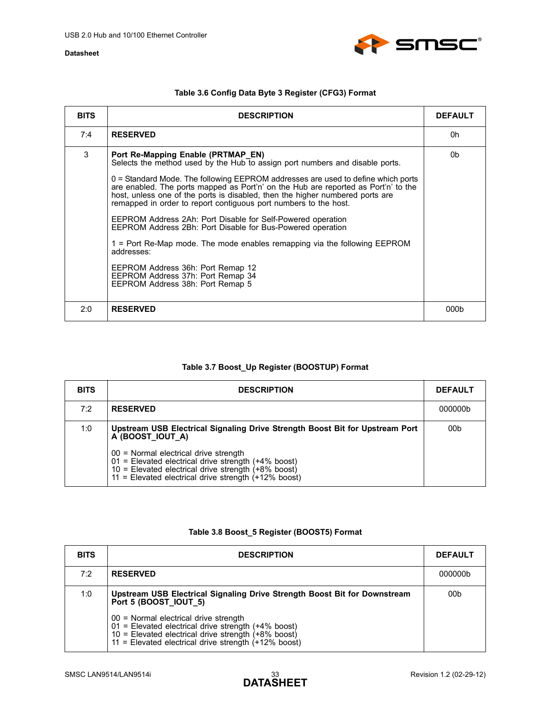

<span id="page-32-3"></span><span id="page-32-0"></span>

| <b>BITS</b> | <b>DESCRIPTION</b>                                                                                                                                                                                                                                                                                                            | <b>DEFAULT</b> |
|-------------|-------------------------------------------------------------------------------------------------------------------------------------------------------------------------------------------------------------------------------------------------------------------------------------------------------------------------------|----------------|
| 7:4         | <b>RESERVED</b>                                                                                                                                                                                                                                                                                                               | 0h             |
| 3           | Port Re-Mapping Enable (PRTMAP EN)<br>Selects the method used by the Hub to assign port numbers and disable ports.                                                                                                                                                                                                            | 0b             |
|             | $0$ = Standard Mode. The following EEPROM addresses are used to define which ports<br>are enabled. The ports mapped as Port'n' on the Hub are reported as Port'n' to the<br>host, unless one of the ports is disabled, then the higher numbered ports are<br>remapped in order to report contiguous port numbers to the host. |                |
|             | EEPROM Address 2Ah: Port Disable for Self-Powered operation<br>EEPROM Address 2Bh: Port Disable for Bus-Powered operation                                                                                                                                                                                                     |                |
|             | 1 = Port Re-Map mode. The mode enables remapping via the following EEPROM<br>addresses:                                                                                                                                                                                                                                       |                |
|             | EEPROM Address 36h: Port Remap 12<br>EEPROM Address 37h: Port Remap 34<br>EEPROM Address 38h: Port Remap 5                                                                                                                                                                                                                    |                |

### **Table 3.6 Config Data Byte 3 Register (CFG3) Format**

### **Table 3.7 Boost\_Up Register (BOOSTUP) Format**

2:0 **RESERVED** 000b

<span id="page-32-1"></span>

| <b>BITS</b> | <b>DESCRIPTION</b>                                                                                                                                                                                                  | <b>DEFAULT</b> |
|-------------|---------------------------------------------------------------------------------------------------------------------------------------------------------------------------------------------------------------------|----------------|
| 7:2         | <b>RESERVED</b>                                                                                                                                                                                                     | 000000b        |
| 1:0         | Upstream USB Electrical Signaling Drive Strength Boost Bit for Upstream Port<br>A (BOOST IOUT A)                                                                                                                    | 00b            |
|             | 00 = Normal electrical drive strength<br>$01$ = Elevated electrical drive strength (+4% boost)<br>10 = Elevated electrical drive strength $(+8\%$ boost)<br>11 = Elevated electrical drive strength $(+12\%$ boost) |                |

### **Table 3.8 Boost\_5 Register (BOOST5) Format**

<span id="page-32-2"></span>

| <b>BITS</b> | <b>DESCRIPTION</b>                                                                                                                                                                                                  | <b>DEFAULT</b>  |
|-------------|---------------------------------------------------------------------------------------------------------------------------------------------------------------------------------------------------------------------|-----------------|
| 7:2         | <b>RESERVED</b>                                                                                                                                                                                                     | 000000b         |
| 1:0         | Upstream USB Electrical Signaling Drive Strength Boost Bit for Downstream<br>Port 5 (BOOST IOUT 5)                                                                                                                  | 00 <sub>b</sub> |
|             | 00 = Normal electrical drive strength<br>$01$ = Elevated electrical drive strength (+4% boost)<br>10 = Elevated electrical drive strength $(+8\%$ boost)<br>11 = Elevated electrical drive strength $(+12\%$ boost) |                 |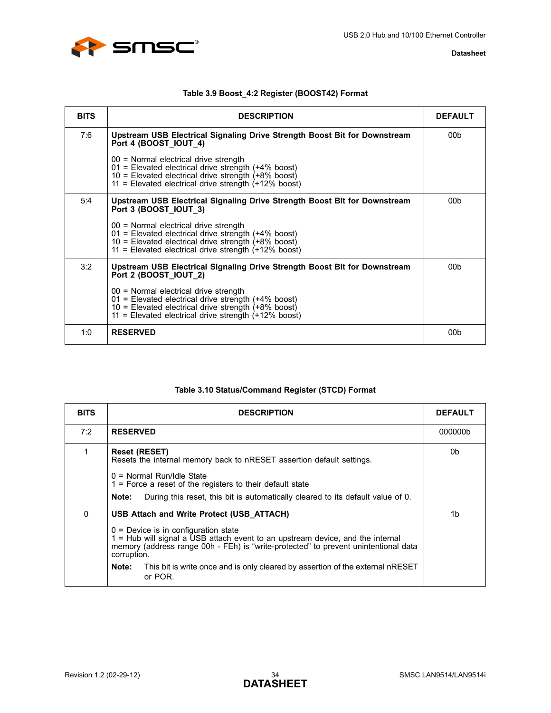

<span id="page-33-0"></span>

| <b>BITS</b> | <b>DESCRIPTION</b>                                                                                                                                                                                                      | <b>DEFAULT</b>  |
|-------------|-------------------------------------------------------------------------------------------------------------------------------------------------------------------------------------------------------------------------|-----------------|
| 7:6         | Upstream USB Electrical Signaling Drive Strength Boost Bit for Downstream<br>Port 4 (BOOST IOUT 4)                                                                                                                      | 00 <sub>b</sub> |
|             | 00 = Normal electrical drive strength<br>01 = Elevated electrical drive strength (+4% boost)<br>$10$ = Elevated electrical drive strength (+8% boost)<br>11 = Elevated electrical drive strength (+12% boost)           |                 |
| 5:4         | Upstream USB Electrical Signaling Drive Strength Boost Bit for Downstream<br>Port 3 (BOOST IOUT 3)                                                                                                                      | 00b             |
|             | $00 =$ Normal electrical drive strength<br>01 = Elevated electrical drive strength (+4% boost)<br>$10$ = Elevated electrical drive strength $(+8\%$ boost)<br>$11$ = Elevated electrical drive strength $(+12\%$ boost) |                 |
| 3:2         | Upstream USB Electrical Signaling Drive Strength Boost Bit for Downstream<br>Port 2 (BOOST IOUT 2)                                                                                                                      | 00 <sub>b</sub> |
|             | $00 =$ Normal electrical drive strength<br>$01$ = Elevated electrical drive strength (+4% boost)<br>10 = Elevated electrical drive strength $(+8\%$ boost)<br>$11$ = Elevated electrical drive strength $(+12\%$ boost) |                 |
| 1:0         | <b>RESERVED</b>                                                                                                                                                                                                         | 00 <sub>b</sub> |

## **Table 3.10 Status/Command Register (STCD) Format**

<span id="page-33-1"></span>

| <b>BITS</b> | <b>DESCRIPTION</b>                                                                                                                                                                                                                                                                                                                                                                  | <b>DEFAULT</b> |
|-------------|-------------------------------------------------------------------------------------------------------------------------------------------------------------------------------------------------------------------------------------------------------------------------------------------------------------------------------------------------------------------------------------|----------------|
| 7:2         | <b>RESERVED</b>                                                                                                                                                                                                                                                                                                                                                                     | 000000b        |
|             | <b>Reset (RESET)</b><br>Resets the internal memory back to nRESET assertion default settings.<br>$0 = Normal Run/$ Idle State<br>$1$ = Force a reset of the registers to their default state<br>During this reset, this bit is automatically cleared to its default value of 0.<br>Note:                                                                                            | 0b             |
| 0           | USB Attach and Write Protect (USB ATTACH)<br>$0 =$ Device is in configuration state<br>$1$ = Hub will signal a USB attach event to an upstream device, and the internal<br>memory (address range 00h - FEh) is "write-protected" to prevent unintentional data<br>corruption.<br>This bit is write once and is only cleared by assertion of the external nRESET<br>Note:<br>or POR. | 1b             |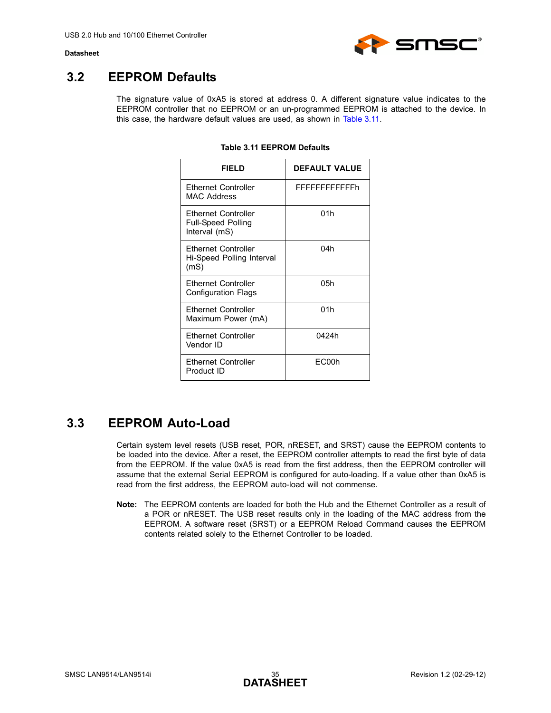

## <span id="page-34-0"></span>**3.2 EEPROM Defaults**

<span id="page-34-2"></span>The signature value of 0xA5 is stored at address 0. A different signature value indicates to the EEPROM controller that no EEPROM or an un-programmed EEPROM is attached to the device. In this case, the hardware default values are used, as shown in [Table 3.11.](#page-34-2)

| <b>FIELD</b>                                                      | <b>DEFAULT VALUE</b> |
|-------------------------------------------------------------------|----------------------|
| Ethernet Controller<br>MAC Address                                | FFFFFFFFFFFFh        |
| Ethernet Controller<br><b>Full-Speed Polling</b><br>Interval (mS) | 01h                  |
| <b>Fthernet Controller</b><br>Hi-Speed Polling Interval<br>(mS)   | 04h                  |
| <b>Ethernet Controller</b><br><b>Configuration Flags</b>          | 05h                  |
| <b>Ethernet Controller</b><br>Maximum Power (mA)                  | 01h                  |
| Ethernet Controller<br>Vendor ID                                  | 0424h                |
| <b>Ethernet Controller</b><br>Product ID                          | EC00h                |

#### **Table 3.11 EEPROM Defaults**

## <span id="page-34-1"></span>**3.3 EEPROM Auto-Load**

Certain system level resets (USB reset, POR, nRESET, and SRST) cause the EEPROM contents to be loaded into the device. After a reset, the EEPROM controller attempts to read the first byte of data from the EEPROM. If the value 0xA5 is read from the first address, then the EEPROM controller will assume that the external Serial EEPROM is configured for auto-loading. If a value other than 0xA5 is read from the first address, the EEPROM auto-load will not commense.

**Note:** The EEPROM contents are loaded for both the Hub and the Ethernet Controller as a result of a POR or nRESET. The USB reset results only in the loading of the MAC address from the EEPROM. A software reset (SRST) or a EEPROM Reload Command causes the EEPROM contents related solely to the Ethernet Controller to be loaded.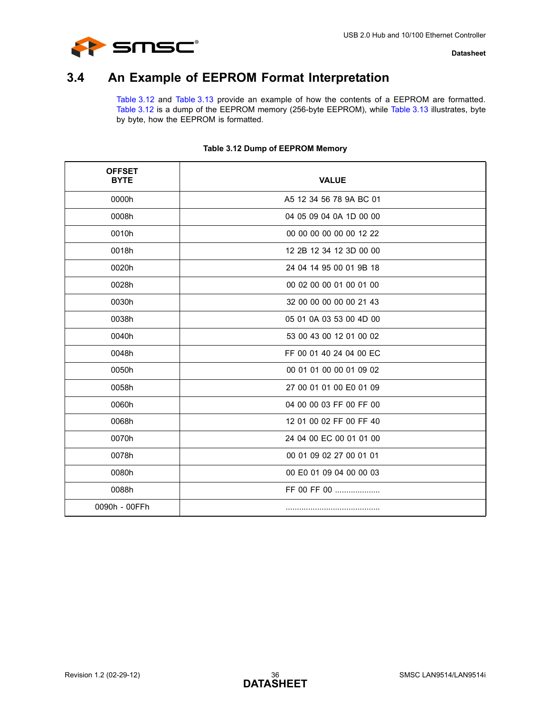

## <span id="page-35-0"></span>**3.4 An Example of EEPROM Format Interpretation**

[Table 3.12](#page-35-1) and [Table 3.13](#page-36-0) provide an example of how the contents of a EEPROM are formatted. [Table 3.12](#page-35-1) is a dump of the EEPROM memory (256-byte EEPROM), while [Table 3.13](#page-36-0) illustrates, byte by byte, how the EEPROM is formatted.

<span id="page-35-1"></span>

| <b>OFFSET</b><br><b>BYTE</b> | <b>VALUE</b>            |
|------------------------------|-------------------------|
| 0000h                        | A5 12 34 56 78 9A BC 01 |
| 0008h                        | 04 05 09 04 0A 1D 00 00 |
| 0010h                        | 00 00 00 00 00 00 12 22 |
| 0018h                        | 12 2B 12 34 12 3D 00 00 |
| 0020h                        | 24 04 14 95 00 01 9B 18 |
| 0028h                        | 00 02 00 00 01 00 01 00 |
| 0030h                        | 32 00 00 00 00 00 21 43 |
| 0038h                        | 05 01 0A 03 53 00 4D 00 |
| 0040h                        | 53 00 43 00 12 01 00 02 |
| 0048h                        | FF 00 01 40 24 04 00 EC |
| 0050h                        | 00 01 01 00 00 01 09 02 |
| 0058h                        | 27 00 01 01 00 E0 01 09 |
| 0060h                        | 04 00 00 03 FF 00 FF 00 |
| 0068h                        | 12 01 00 02 FF 00 FF 40 |
| 0070h                        | 24 04 00 EC 00 01 01 00 |
| 0078h                        | 00 01 09 02 27 00 01 01 |
| 0080h                        | 00 E0 01 09 04 00 00 03 |
| 0088h                        | FF 00 FF 00             |
| 0090h - 00FFh                |                         |

### **Table 3.12 Dump of EEPROM Memory**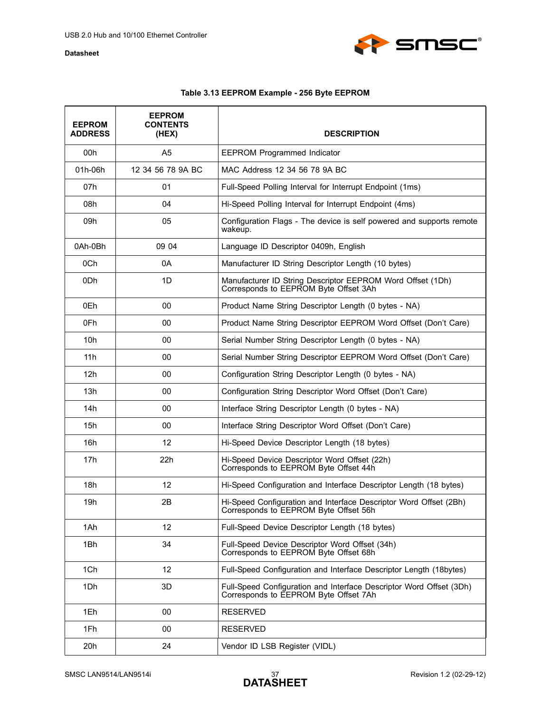

### **Table 3.13 EEPROM Example - 256 Byte EEPROM**

<span id="page-36-0"></span>

| <b>EEPROM</b><br><b>ADDRESS</b> | <b>EEPROM</b><br><b>CONTENTS</b><br>(HEX) | <b>DESCRIPTION</b>                                                                                           |
|---------------------------------|-------------------------------------------|--------------------------------------------------------------------------------------------------------------|
| 00h                             | A <sub>5</sub>                            | <b>EEPROM Programmed Indicator</b>                                                                           |
| 01h-06h                         | 12 34 56 78 9A BC                         | MAC Address 12 34 56 78 9A BC                                                                                |
| 07h                             | 01                                        | Full-Speed Polling Interval for Interrupt Endpoint (1ms)                                                     |
| 08h                             | 04                                        | Hi-Speed Polling Interval for Interrupt Endpoint (4ms)                                                       |
| 09h                             | 05                                        | Configuration Flags - The device is self powered and supports remote<br>wakeup.                              |
| 0Ah-0Bh                         | 09 04                                     | Language ID Descriptor 0409h, English                                                                        |
| 0Ch                             | 0A                                        | Manufacturer ID String Descriptor Length (10 bytes)                                                          |
| 0 <sub>Dh</sub>                 | 1D                                        | Manufacturer ID String Descriptor EEPROM Word Offset (1Dh)<br>Corresponds to EEPROM Byte Offset 3Ah          |
| 0Eh                             | 00                                        | Product Name String Descriptor Length (0 bytes - NA)                                                         |
| 0Fh                             | 00                                        | Product Name String Descriptor EEPROM Word Offset (Don't Care)                                               |
| 10h                             | 00                                        | Serial Number String Descriptor Length (0 bytes - NA)                                                        |
| 11h                             | 00                                        | Serial Number String Descriptor EEPROM Word Offset (Don't Care)                                              |
| 12h                             | 00                                        | Configuration String Descriptor Length (0 bytes - NA)                                                        |
| 13h                             | 00                                        | Configuration String Descriptor Word Offset (Don't Care)                                                     |
| 14h                             | 00                                        | Interface String Descriptor Length (0 bytes - NA)                                                            |
| 15h                             | 00                                        | Interface String Descriptor Word Offset (Don't Care)                                                         |
| 16h                             | 12                                        | Hi-Speed Device Descriptor Length (18 bytes)                                                                 |
| 17h                             | 22h                                       | Hi-Speed Device Descriptor Word Offset (22h)<br>Corresponds to EEPROM Byte Offset 44h                        |
| 18h                             | 12                                        | Hi-Speed Configuration and Interface Descriptor Length (18 bytes)                                            |
| 19h                             | 2B                                        | Hi-Speed Configuration and Interface Descriptor Word Offset (2Bh)<br>Corresponds to EEPROM Byte Offset 56h   |
| 1Ah                             | 12                                        | Full-Speed Device Descriptor Length (18 bytes)                                                               |
| 1Bh                             | 34                                        | Full-Speed Device Descriptor Word Offset (34h)<br>Corresponds to EEPROM Byte Offset 68h                      |
| 1Ch                             | 12                                        | Full-Speed Configuration and Interface Descriptor Length (18bytes)                                           |
| 1Dh                             | 3D                                        | Full-Speed Configuration and Interface Descriptor Word Offset (3Dh)<br>Corresponds to EEPROM Byte Offset 7Ah |
| 1Eh                             | $00\,$                                    | <b>RESERVED</b>                                                                                              |
| 1Fh                             | 00                                        | <b>RESERVED</b>                                                                                              |
| 20h                             | 24                                        | Vendor ID LSB Register (VIDL)                                                                                |

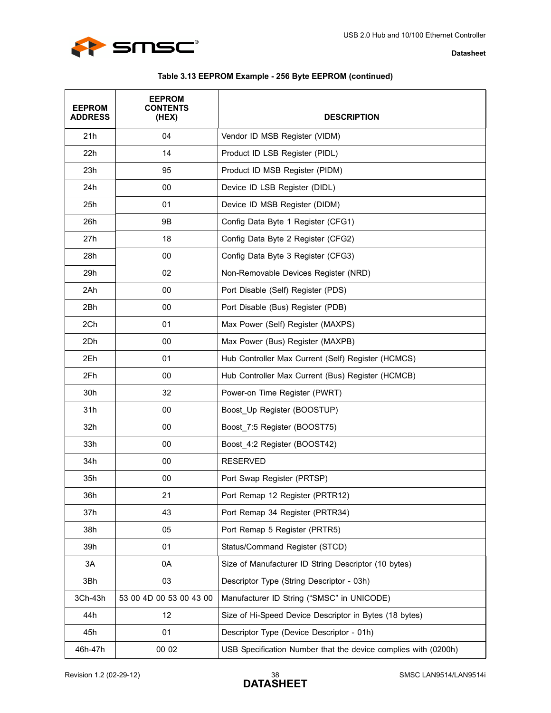



| Table 3.13 EEPROM Example - 256 Byte EEPROM (continued) |  |  |
|---------------------------------------------------------|--|--|
|                                                         |  |  |

| <b>EEPROM</b><br><b>ADDRESS</b> | <b>EEPROM</b><br><b>CONTENTS</b><br>(HEX) | <b>DESCRIPTION</b>                                             |
|---------------------------------|-------------------------------------------|----------------------------------------------------------------|
| 21h                             | 04                                        | Vendor ID MSB Register (VIDM)                                  |
| 22h                             | 14                                        | Product ID LSB Register (PIDL)                                 |
| 23h                             | 95                                        | Product ID MSB Register (PIDM)                                 |
| 24h                             | 00                                        | Device ID LSB Register (DIDL)                                  |
| 25h                             | 01                                        | Device ID MSB Register (DIDM)                                  |
| 26h                             | 9B                                        | Config Data Byte 1 Register (CFG1)                             |
| 27h                             | 18                                        | Config Data Byte 2 Register (CFG2)                             |
| 28h                             | 00                                        | Config Data Byte 3 Register (CFG3)                             |
| 29h                             | 02                                        | Non-Removable Devices Register (NRD)                           |
| 2Ah                             | 00                                        | Port Disable (Self) Register (PDS)                             |
| 2Bh                             | 00                                        | Port Disable (Bus) Register (PDB)                              |
| 2Ch                             | 01                                        | Max Power (Self) Register (MAXPS)                              |
| 2Dh                             | 00                                        | Max Power (Bus) Register (MAXPB)                               |
| 2Eh                             | 01                                        | Hub Controller Max Current (Self) Register (HCMCS)             |
| 2Fh                             | 00                                        | Hub Controller Max Current (Bus) Register (HCMCB)              |
| 30h                             | 32                                        | Power-on Time Register (PWRT)                                  |
| 31h                             | 00                                        | Boost Up Register (BOOSTUP)                                    |
| 32h                             | 00                                        | Boost_7:5 Register (BOOST75)                                   |
| 33h                             | 00                                        | Boost 4:2 Register (BOOST42)                                   |
| 34h                             | 00                                        | <b>RESERVED</b>                                                |
| 35h                             | 00                                        | Port Swap Register (PRTSP)                                     |
| 36h                             | 21                                        | Port Remap 12 Register (PRTR12)                                |
| 37h                             | 43                                        | Port Remap 34 Register (PRTR34)                                |
| 38h                             | 05                                        | Port Remap 5 Register (PRTR5)                                  |
| 39h                             | 01                                        | Status/Command Register (STCD)                                 |
| 3A                              | 0A                                        | Size of Manufacturer ID String Descriptor (10 bytes)           |
| 3Bh                             | 03                                        | Descriptor Type (String Descriptor - 03h)                      |
| 3Ch-43h                         | 53 00 4D 00 53 00 43 00                   | Manufacturer ID String ("SMSC" in UNICODE)                     |
| 44h                             | 12                                        | Size of Hi-Speed Device Descriptor in Bytes (18 bytes)         |
| 45h                             | 01                                        | Descriptor Type (Device Descriptor - 01h)                      |
| 46h-47h                         | 00 02                                     | USB Specification Number that the device complies with (0200h) |

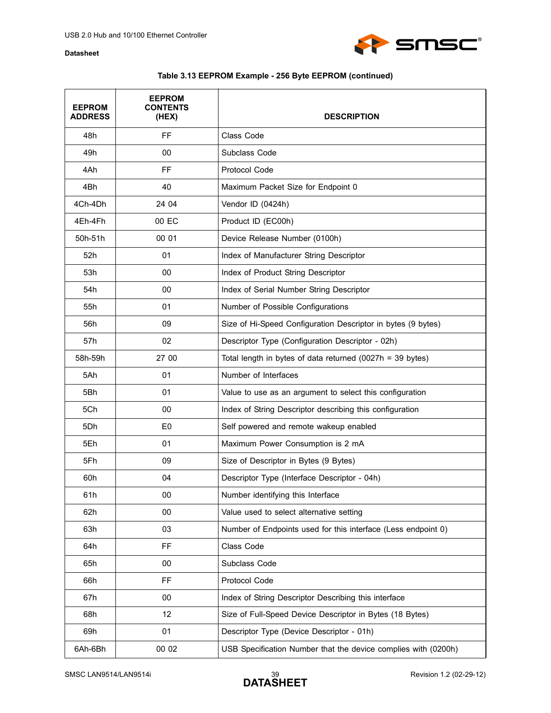

## **Table 3.13 EEPROM Example - 256 Byte EEPROM (continued)**

| <b>EEPROM</b><br><b>ADDRESS</b> | <b>EEPROM</b><br><b>CONTENTS</b><br>(HEX) | <b>DESCRIPTION</b>                                             |
|---------------------------------|-------------------------------------------|----------------------------------------------------------------|
| 48h                             | <b>FF</b>                                 | Class Code                                                     |
| 49h                             | 00                                        | Subclass Code                                                  |
| 4Ah                             | FF                                        | Protocol Code                                                  |
| 4Bh                             | 40                                        | Maximum Packet Size for Endpoint 0                             |
| 4Ch-4Dh                         | 24 04                                     | Vendor ID (0424h)                                              |
| 4Eh-4Fh                         | 00 EC                                     | Product ID (EC00h)                                             |
| 50h-51h                         | 00 01                                     | Device Release Number (0100h)                                  |
| 52h                             | 01                                        | Index of Manufacturer String Descriptor                        |
| 53h                             | 00                                        | Index of Product String Descriptor                             |
| 54h                             | 00                                        | Index of Serial Number String Descriptor                       |
| 55h                             | 01                                        | Number of Possible Configurations                              |
| 56h                             | 09                                        | Size of Hi-Speed Configuration Descriptor in bytes (9 bytes)   |
| 57h                             | 02                                        | Descriptor Type (Configuration Descriptor - 02h)               |
| 58h-59h                         | 27 00                                     | Total length in bytes of data returned (0027h = 39 bytes)      |
| 5Ah                             | 01                                        | Number of Interfaces                                           |
| 5Bh                             | 01                                        | Value to use as an argument to select this configuration       |
| 5Ch                             | 00                                        | Index of String Descriptor describing this configuration       |
| 5Dh                             | E <sub>0</sub>                            | Self powered and remote wakeup enabled                         |
| 5Eh                             | 01                                        | Maximum Power Consumption is 2 mA                              |
| 5Fh                             | 09                                        | Size of Descriptor in Bytes (9 Bytes)                          |
| 60h                             | 04                                        | Descriptor Type (Interface Descriptor - 04h)                   |
| 61h                             | 00                                        | Number identifying this Interface                              |
| 62h                             | 00                                        | Value used to select alternative setting                       |
| 63h                             | 03                                        | Number of Endpoints used for this interface (Less endpoint 0)  |
| 64h                             | <b>FF</b>                                 | Class Code                                                     |
| 65h                             | 00                                        | Subclass Code                                                  |
| 66h                             | <b>FF</b>                                 | Protocol Code                                                  |
| 67h                             | 00                                        | Index of String Descriptor Describing this interface           |
| 68h                             | 12                                        | Size of Full-Speed Device Descriptor in Bytes (18 Bytes)       |
| 69h                             | 01                                        | Descriptor Type (Device Descriptor - 01h)                      |
| 6Ah-6Bh                         | 00 02                                     | USB Specification Number that the device complies with (0200h) |

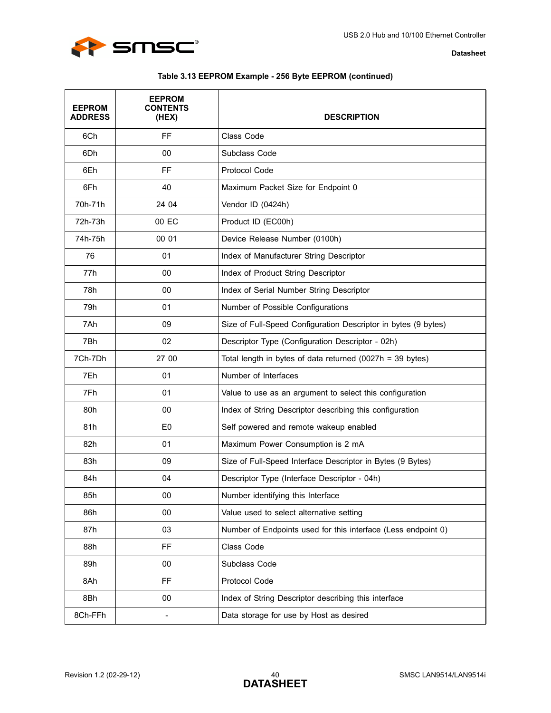

| Table 3.13 EEPROM Example - 256 Byte EEPROM (continued) |  |  |
|---------------------------------------------------------|--|--|
|---------------------------------------------------------|--|--|

| <b>EEPROM</b><br><b>ADDRESS</b> | <b>EEPROM</b><br><b>CONTENTS</b><br>(HEX) | <b>DESCRIPTION</b>                                             |
|---------------------------------|-------------------------------------------|----------------------------------------------------------------|
| 6Ch                             | FF                                        | Class Code                                                     |
| 6Dh                             | 00                                        | Subclass Code                                                  |
| 6Eh                             | FF                                        | Protocol Code                                                  |
| 6Fh                             | 40                                        | Maximum Packet Size for Endpoint 0                             |
| 70h-71h                         | 24 04                                     | Vendor ID (0424h)                                              |
| 72h-73h                         | 00 EC                                     | Product ID (EC00h)                                             |
| 74h-75h                         | 00 01                                     | Device Release Number (0100h)                                  |
| 76                              | 01                                        | Index of Manufacturer String Descriptor                        |
| 77h                             | 00                                        | Index of Product String Descriptor                             |
| 78h                             | 00                                        | Index of Serial Number String Descriptor                       |
| 79h                             | 01                                        | Number of Possible Configurations                              |
| 7Ah                             | 09                                        | Size of Full-Speed Configuration Descriptor in bytes (9 bytes) |
| 7Bh                             | 02                                        | Descriptor Type (Configuration Descriptor - 02h)               |
| 7Ch-7Dh                         | 27 00                                     | Total length in bytes of data returned $(0027h = 39$ bytes)    |
| 7Eh                             | 01                                        | Number of Interfaces                                           |
| 7Fh                             | 01                                        | Value to use as an argument to select this configuration       |
| 80h                             | 00                                        | Index of String Descriptor describing this configuration       |
| 81h                             | E <sub>0</sub>                            | Self powered and remote wakeup enabled                         |
| 82h                             | 01                                        | Maximum Power Consumption is 2 mA                              |
| 83h                             | 09                                        | Size of Full-Speed Interface Descriptor in Bytes (9 Bytes)     |
| 84h                             | 04                                        | Descriptor Type (Interface Descriptor - 04h)                   |
| 85h                             | <sub>00</sub>                             | Number identifying this Interface                              |
| 86h                             | 00                                        | Value used to select alternative setting                       |
| 87h                             | 03                                        | Number of Endpoints used for this interface (Less endpoint 0)  |
| 88h                             | <b>FF</b>                                 | Class Code                                                     |
| 89h                             | 00                                        | Subclass Code                                                  |
| 8Ah                             | <b>FF</b>                                 | Protocol Code                                                  |
| 8Bh                             | 00                                        | Index of String Descriptor describing this interface           |
| 8Ch-FFh                         | $\qquad \qquad \blacksquare$              | Data storage for use by Host as desired                        |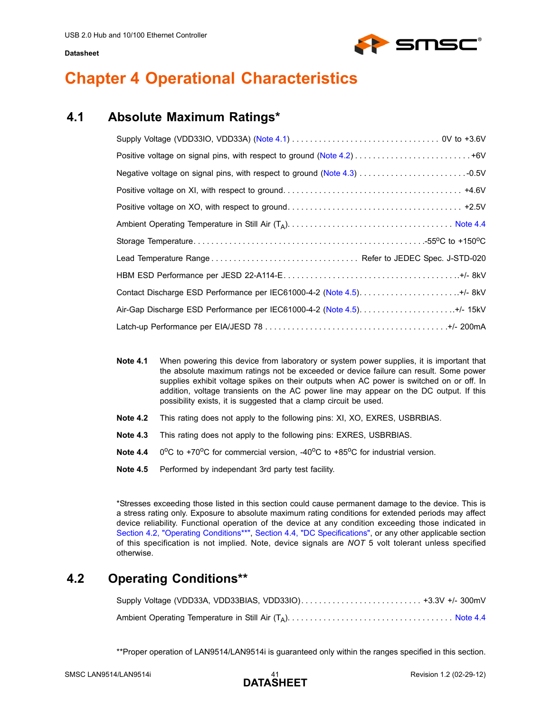

# <span id="page-40-0"></span>**Chapter 4 Operational Characteristics**

## <span id="page-40-1"></span>**4.1 Absolute Maximum Ratings\***

<span id="page-40-8"></span>

| Air-Gap Discharge ESD Performance per IEC61000-4-2 (Note 4.5)+/- 15kV |
|-----------------------------------------------------------------------|
|                                                                       |

- <span id="page-40-4"></span>**Note 4.1** When powering this device from laboratory or system power supplies, it is important that the absolute maximum ratings not be exceeded or device failure can result. Some power supplies exhibit voltage spikes on their outputs when AC power is switched on or off. In addition, voltage transients on the AC power line may appear on the DC output. If this possibility exists, it is suggested that a clamp circuit be used.
- <span id="page-40-5"></span>**Note 4.2** This rating does not apply to the following pins: XI, XO, EXRES, USBRBIAS.
- <span id="page-40-6"></span>**Note 4.3** This rating does not apply to the following pins: EXRES, USBRBIAS.
- <span id="page-40-7"></span>**Note 4.4**  $0^{\circ}$ C to +70 $^{\circ}$ C for commercial version, -40 $^{\circ}$ C to +85 $^{\circ}$ C for industrial version.
- <span id="page-40-3"></span>**Note 4.5** Performed by independant 3rd party test facility.

\*Stresses exceeding those listed in this section could cause permanent damage to the device. This is a stress rating only. Exposure to absolute maximum rating conditions for extended periods may affect device reliability. Functional operation of the device at any condition exceeding those indicated in [Section 4.2, "Operating Conditions\\*\\*"](#page-40-2), [Section 4.4, "DC Specifications"](#page-43-0), or any other applicable section of this specification is not implied. Note, device signals are *NOT* 5 volt tolerant unless specified otherwise.

## <span id="page-40-2"></span>**4.2 Operating Conditions\*\***

\*\*Proper operation of LAN9514/LAN9514i is guaranteed only within the ranges specified in this section.

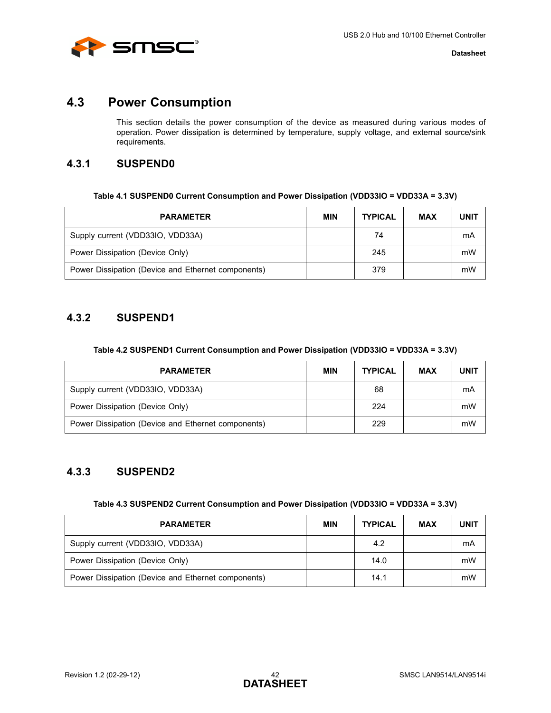

## <span id="page-41-0"></span>**4.3 Power Consumption**

<span id="page-41-7"></span>This section details the power consumption of the device as measured during various modes of operation. Power dissipation is determined by temperature, supply voltage, and external source/sink requirements.

## <span id="page-41-1"></span>**4.3.1 SUSPEND0**

<span id="page-41-4"></span>

| <b>PARAMETER</b>                                   | <b>MIN</b> | <b>TYPICAL</b> | <b>MAX</b> | <b>UNIT</b> |
|----------------------------------------------------|------------|----------------|------------|-------------|
| Supply current (VDD33IO, VDD33A)                   |            | 74             |            | mA          |
| Power Dissipation (Device Only)                    |            | 245            |            | mW          |
| Power Dissipation (Device and Ethernet components) |            | 379            |            | mW          |

## <span id="page-41-2"></span>**4.3.2 SUSPEND1**

#### **Table 4.2 SUSPEND1 Current Consumption and Power Dissipation (VDD33IO = VDD33A = 3.3V)**

<span id="page-41-5"></span>

| <b>PARAMETER</b>                                   | <b>MIN</b> | <b>TYPICAL</b> | <b>MAX</b> | <b>UNIT</b> |
|----------------------------------------------------|------------|----------------|------------|-------------|
| Supply current (VDD33IO, VDD33A)                   |            | 68             |            | mA          |
| Power Dissipation (Device Only)                    |            | 224            |            | mW          |
| Power Dissipation (Device and Ethernet components) |            | 229            |            | mW          |

## <span id="page-41-3"></span>**4.3.3 SUSPEND2**

| Table 4.3 SUSPEND2 Current Consumption and Power Dissipation (VDD33IO = VDD33A = 3.3V) |  |  |  |
|----------------------------------------------------------------------------------------|--|--|--|
|----------------------------------------------------------------------------------------|--|--|--|

<span id="page-41-6"></span>

| <b>PARAMETER</b>                                   | <b>MIN</b> | <b>TYPICAL</b> | <b>MAX</b> | <b>UNIT</b> |
|----------------------------------------------------|------------|----------------|------------|-------------|
| Supply current (VDD33IO, VDD33A)                   |            | 4.2            |            | mA          |
| Power Dissipation (Device Only)                    |            | 14.0           |            | mW          |
| Power Dissipation (Device and Ethernet components) |            | 14.1           |            | mW          |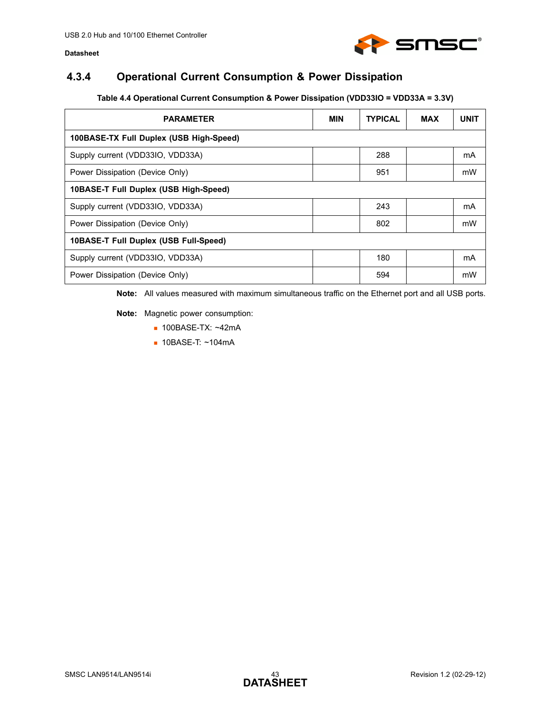

## <span id="page-42-0"></span>**4.3.4 Operational Current Consumption & Power Dissipation**

### **Table 4.4 Operational Current Consumption & Power Dissipation (VDD33IO = VDD33A = 3.3V)**

<span id="page-42-1"></span>

| <b>PARAMETER</b>                        | <b>MIN</b> | <b>TYPICAL</b> | <b>MAX</b> | <b>UNIT</b> |  |  |  |  |
|-----------------------------------------|------------|----------------|------------|-------------|--|--|--|--|
| 100BASE-TX Full Duplex (USB High-Speed) |            |                |            |             |  |  |  |  |
| Supply current (VDD33IO, VDD33A)        |            | 288            |            | mA          |  |  |  |  |
| Power Dissipation (Device Only)         |            | 951            |            | mW          |  |  |  |  |
| 10BASE-T Full Duplex (USB High-Speed)   |            |                |            |             |  |  |  |  |
| Supply current (VDD33IO, VDD33A)        |            | 243            |            | mA          |  |  |  |  |
| Power Dissipation (Device Only)         |            | 802            |            | mW          |  |  |  |  |
| 10BASE-T Full Duplex (USB Full-Speed)   |            |                |            |             |  |  |  |  |
| Supply current (VDD33IO, VDD33A)        |            | 180            |            | mA          |  |  |  |  |
| Power Dissipation (Device Only)         |            | 594            |            | mW          |  |  |  |  |

**Note:** All values measured with maximum simultaneous traffic on the Ethernet port and all USB ports.

**Note:** Magnetic power consumption:

- 100BASE-TX: ~42mA
- 10BASE-T: ~104mA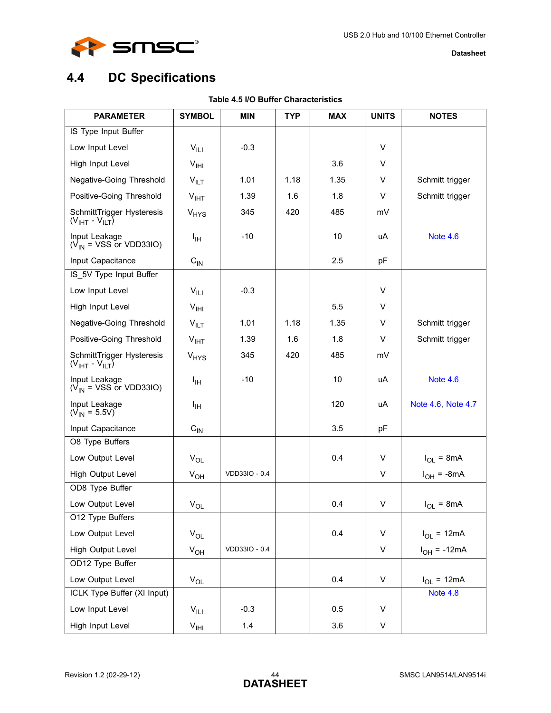

# <span id="page-43-2"></span><span id="page-43-0"></span>**4.4 DC Specifications**

<span id="page-43-1"></span>

| <b>PARAMETER</b>                               | <b>SYMBOL</b>                 | <b>MIN</b>    | <b>TYP</b> | <b>MAX</b> | <b>UNITS</b> | <b>NOTES</b>       |
|------------------------------------------------|-------------------------------|---------------|------------|------------|--------------|--------------------|
| IS Type Input Buffer                           |                               |               |            |            |              |                    |
| Low Input Level                                | $V_{\parallel\perp\parallel}$ | $-0.3$        |            |            | V            |                    |
| High Input Level                               | V <sub>HH</sub>               |               |            | 3.6        | V            |                    |
| Negative-Going Threshold                       | $V_{\parallel T}$             | 1.01          | 1.18       | 1.35       | V            | Schmitt trigger    |
| Positive-Going Threshold                       | V <sub>IHT</sub>              | 1.39          | 1.6        | 1.8        | V            | Schmitt trigger    |
| SchmittTrigger Hysteresis<br>$(VIHT - VILT)$   | <b>V<sub>HYS</sub></b>        | 345           | 420        | 485        | mV           |                    |
| Input Leakage<br>$(V_{IN} = VSS$ or VDD33IO)   | Iн                            | $-10$         |            | 10         | uA           | <b>Note 4.6</b>    |
| Input Capacitance                              | $C_{IN}$                      |               |            | 2.5        | рF           |                    |
| IS_5V Type Input Buffer                        |                               |               |            |            |              |                    |
| Low Input Level                                | $V_{\parallel$                | $-0.3$        |            |            | V            |                    |
| High Input Level                               | V <sub>HH</sub>               |               |            | 5.5        | V            |                    |
| Negative-Going Threshold                       | $V_{\parallel\Gamma}$         | 1.01          | 1.18       | 1.35       | V            | Schmitt trigger    |
| Positive-Going Threshold                       | $V_{IHT}$                     | 1.39          | 1.6        | 1.8        | V            | Schmitt trigger    |
| SchmittTrigger Hysteresis<br>$(VIHT - VILT)$   | <b>V<sub>HYS</sub></b>        | 345           | 420        | 485        | mV           |                    |
| Input Leakage<br>$(V_{IN} = VSS \nor VDD33IO)$ | Iн                            | $-10$         |            | 10         | uA           | <b>Note 4.6</b>    |
| Input Leakage<br>$(V_{IN} = 5.5V)$             | Iн                            |               |            | 120        | uA           | Note 4.6, Note 4.7 |
| Input Capacitance                              | $\mathrm{C_{IN}}$             |               |            | 3.5        | pF           |                    |
| O8 Type Buffers                                |                               |               |            |            |              |                    |
| Low Output Level                               | $V_{OL}$                      |               |            | 0.4        | V            | $I_{OL}$ = 8mA     |
| High Output Level                              | $V_{OH}$                      | VDD33IO - 0.4 |            |            | V            | $I_{OH}$ = -8mA    |
| OD8 Type Buffer                                |                               |               |            |            |              |                    |
| Low Output Level                               | $V_{OL}$                      |               |            | 0.4        | V            | $I_{OL}$ = 8mA     |
| O12 Type Buffers                               |                               |               |            |            |              |                    |
| Low Output Level                               | $V_{OL}$                      |               |            | 0.4        | V            | $I_{OL}$ = 12mA    |
| High Output Level                              | $V_{OH}$                      | VDD33IO - 0.4 |            |            | V            | $I_{OH}$ = -12mA   |
| OD12 Type Buffer                               |                               |               |            |            |              |                    |
| Low Output Level                               | $V_{OL}$                      |               |            | 0.4        | V            | $I_{OL}$ = 12mA    |
| ICLK Type Buffer (XI Input)                    |                               |               |            |            |              | Note 4.8           |
| Low Input Level                                | $V_{\parallel L1}$            | $-0.3$        |            | 0.5        | V            |                    |
| High Input Level                               | V <sub>HH</sub>               | 1.4           |            | 3.6        | V            |                    |

### **Table 4.5 I/O Buffer Characteristics**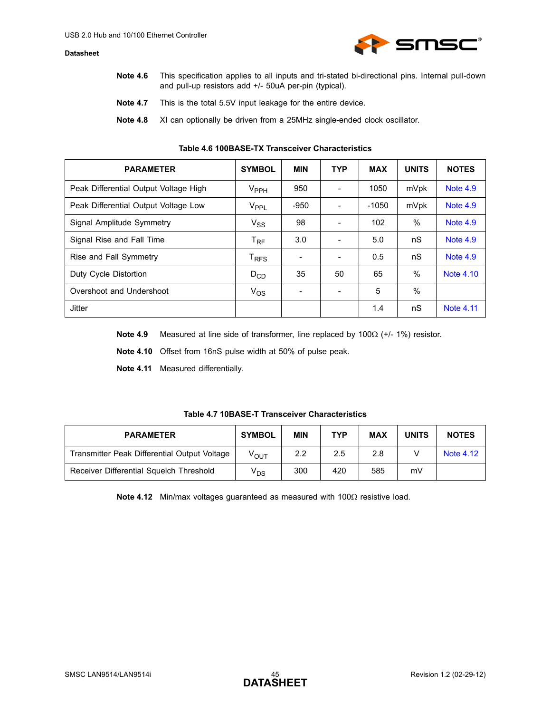

- <span id="page-44-2"></span>**Note 4.6** This specification applies to all inputs and tri-stated bi-directional pins. Internal pull-down and pull-up resistors add +/- 50uA per-pin (typical).
- <span id="page-44-4"></span>**Note 4.7** This is the total 5.5V input leakage for the entire device.
- **Note 4.8** XI can optionally be driven from a 25MHz single-ended clock oscillator.

<span id="page-44-3"></span><span id="page-44-0"></span>

| <b>PARAMETER</b>                      | <b>SYMBOL</b>    | <b>MIN</b> | <b>TYP</b> | <b>MAX</b> | <b>UNITS</b>  | <b>NOTES</b>     |
|---------------------------------------|------------------|------------|------------|------------|---------------|------------------|
| Peak Differential Output Voltage High | $V_{PPH}$        | 950        |            | 1050       | mVpk          | <b>Note 4.9</b>  |
| Peak Differential Output Voltage Low  | V <sub>PPL</sub> | $-950$     | ۰          | $-1050$    | mVpk          | <b>Note 4.9</b>  |
| Signal Amplitude Symmetry             | $V_{SS}$         | 98         | ۰          | 102        | $\%$          | <b>Note 4.9</b>  |
| Signal Rise and Fall Time             | $T_{\sf RF}$     | 3.0        |            | 5.0        | nS            | <b>Note 4.9</b>  |
| Rise and Fall Symmetry                | T <sub>RFS</sub> |            |            | 0.5        | nS            | Note 4.9         |
| Duty Cycle Distortion                 | $D_{CD}$         | 35         | 50         | 65         | $\%$          | <b>Note 4.10</b> |
| Overshoot and Undershoot              | $V_{OS}$         |            | ٠          | 5          | $\frac{0}{0}$ |                  |
| Jitter                                |                  |            |            | 1.4        | nS            | <b>Note 4.11</b> |

#### **Table 4.6 100BASE-TX Transceiver Characteristics**

<span id="page-44-5"></span>**Note 4.9** Measured at line side of transformer, line replaced by 100Ω (+/- 1%) resistor.

<span id="page-44-6"></span>**Note 4.10** Offset from 16nS pulse width at 50% of pulse peak.

<span id="page-44-7"></span>**Note 4.11** Measured differentially.

<span id="page-44-1"></span>

| <b>PARAMETER</b>                             | <b>SYMBOL</b>              | <b>MIN</b> | <b>TYP</b> | <b>MAX</b> | <b>UNITS</b> | <b>NOTES</b> |
|----------------------------------------------|----------------------------|------------|------------|------------|--------------|--------------|
| Transmitter Peak Differential Output Voltage | $V_{\text{OUT}}$           | 2.2        | 2.5        | 2.8        |              | Note 4.12    |
| Receiver Differential Squelch Threshold      | $\mathsf{V}_{\mathsf{DS}}$ | 300        | 420        | 585        | m٧           |              |

<span id="page-44-8"></span>**Note 4.12** Min/max voltages guaranteed as measured with 100Ω resistive load.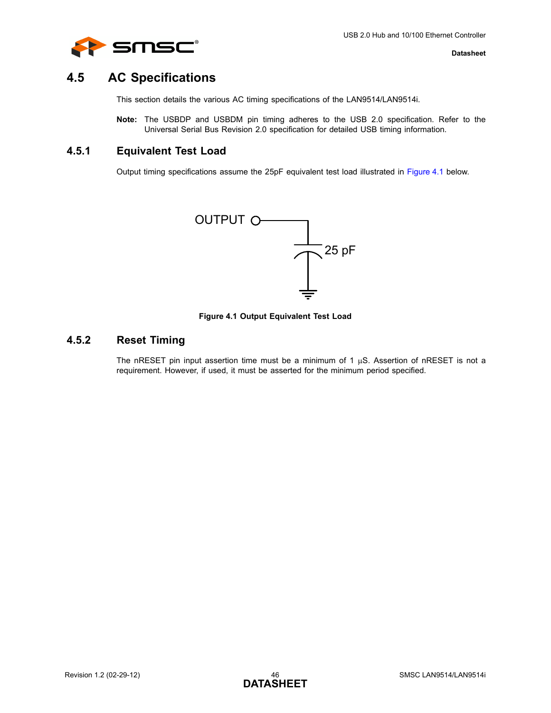

## <span id="page-45-0"></span>**4.5 AC Specifications**

This section details the various AC timing specifications of the LAN9514/LAN9514i.

**Note:** The USBDP and USBDM pin timing adheres to the USB 2.0 specification. Refer to the Universal Serial Bus Revision 2.0 specification for detailed USB timing information.

### <span id="page-45-1"></span>**4.5.1 Equivalent Test Load**

Output timing specifications assume the 25pF equivalent test load illustrated in [Figure 4.1](#page-45-3) below.



**Figure 4.1 Output Equivalent Test Load**

## <span id="page-45-3"></span><span id="page-45-2"></span>**4.5.2 Reset Timing**

The nRESET pin input assertion time must be a minimum of 1  $\mu$ S. Assertion of nRESET is not a requirement. However, if used, it must be asserted for the minimum period specified.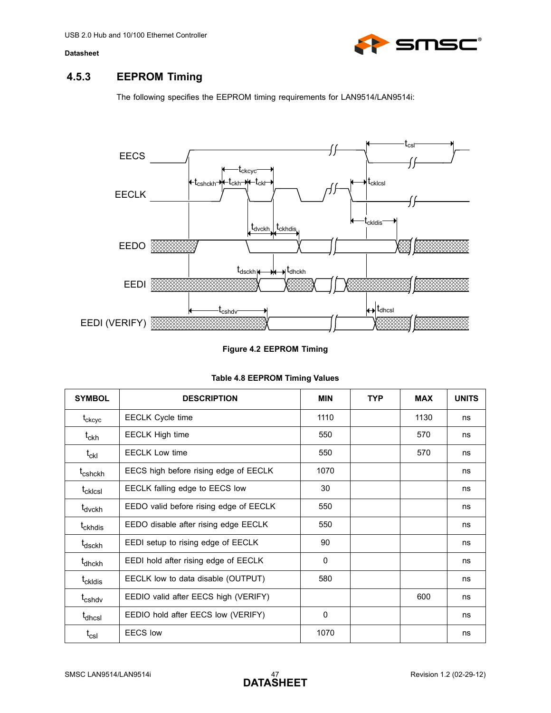

# <span id="page-46-0"></span>**4.5.3 EEPROM Timing**

The following specifies the EEPROM timing requirements for LAN9514/LAN9514i:



#### **Figure 4.2 EEPROM Timing**

<span id="page-46-2"></span><span id="page-46-1"></span>

| <b>SYMBOL</b>               | <b>DESCRIPTION</b>                     | <b>MIN</b> | <b>TYP</b> | <b>MAX</b> | <b>UNITS</b> |
|-----------------------------|----------------------------------------|------------|------------|------------|--------------|
| $t_{ckcyc}$                 | <b>EECLK Cycle time</b>                | 1110       |            | 1130       | ns           |
| $t_{\sf ckh}$               | <b>EECLK High time</b>                 | 550        |            | 570        | ns           |
| $\mathfrak{t}_{\rm ckl}$    | <b>EECLK Low time</b>                  | 550        |            | 570        | ns           |
| t <sub>cshckh</sub>         | EECS high before rising edge of EECLK  | 1070       |            |            | ns           |
| t <sub>cklcsl</sub>         | EECLK falling edge to EECS low         | 30         |            |            | ns           |
| t <sub>dvckh</sub>          | EEDO valid before rising edge of EECLK | 550        |            |            | ns           |
| t <sub>ckhdis</sub>         | EEDO disable after rising edge EECLK   | 550        |            |            | ns           |
| t <sub>dsckh</sub>          | EEDI setup to rising edge of EECLK     | 90         |            |            | ns           |
| t <sub>dhckh</sub>          | EEDI hold after rising edge of EECLK   | 0          |            |            | ns           |
| t <sub>ckldis</sub>         | EECLK low to data disable (OUTPUT)     | 580        |            |            | ns           |
| t <sub>cshdv</sub>          | EEDIO valid after EECS high (VERIFY)   |            |            | 600        | ns           |
| t <sub>dhcsl</sub>          | EEDIO hold after EECS low (VERIFY)     | 0          |            |            | ns           |
| $\mathsf{t}_{\mathsf{csl}}$ | FFCS low                               | 1070       |            |            | ns           |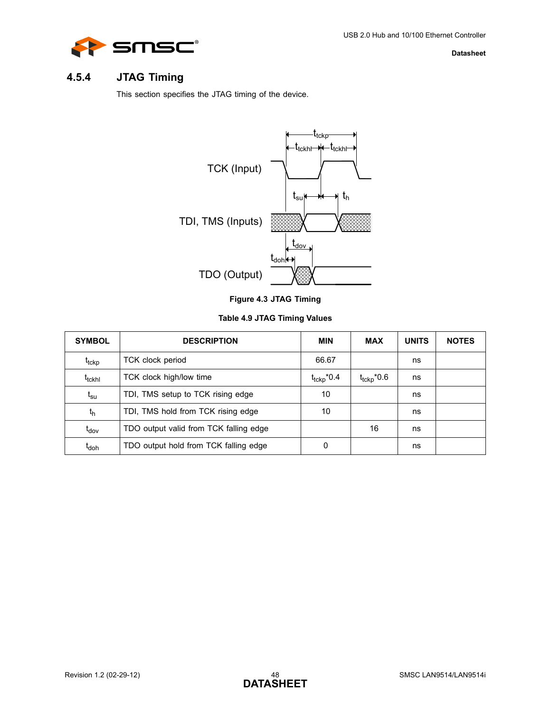

## <span id="page-47-0"></span>**4.5.4 JTAG Timing**

<span id="page-47-3"></span>This section specifies the JTAG timing of the device.



|  | Figure 4.3 JTAG Timing |
|--|------------------------|
|  |                        |

### **Table 4.9 JTAG Timing Values**

<span id="page-47-2"></span><span id="page-47-1"></span>

| <b>SYMBOL</b>                | <b>DESCRIPTION</b>                     | <b>MIN</b>             | <b>MAX</b>             | <b>UNITS</b> | <b>NOTES</b> |
|------------------------------|----------------------------------------|------------------------|------------------------|--------------|--------------|
| t <sub>tckp</sub>            | TCK clock period                       | 66.67                  |                        | ns           |              |
| t <sub>tckhl</sub>           | TCK clock high/low time                | $t_{\text{tckp}}$ *0.4 | $t_{\text{tckp}}$ *0.6 | ns           |              |
| $\mathfrak{t}_{\mathsf{su}}$ | TDI, TMS setup to TCK rising edge      | 10                     |                        | ns           |              |
| t <sub>h</sub>               | TDI, TMS hold from TCK rising edge     | 10                     |                        | ns           |              |
| t <sub>dov</sub>             | TDO output valid from TCK falling edge |                        | 16                     | ns           |              |
| t <sub>doh</sub>             | TDO output hold from TCK falling edge  | 0                      |                        | ns           |              |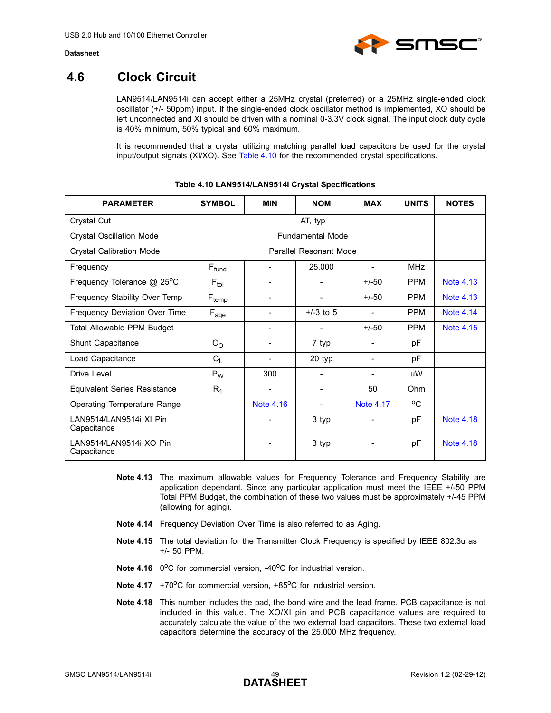

## <span id="page-48-0"></span>**4.6 Clock Circuit**

LAN9514/LAN9514i can accept either a 25MHz crystal (preferred) or a 25MHz single-ended clock oscillator (+/- 50ppm) input. If the single-ended clock oscillator method is implemented, XO should be left unconnected and XI should be driven with a nominal 0-3.3V clock signal. The input clock duty cycle is 40% minimum, 50% typical and 60% maximum.

It is recommended that a crystal utilizing matching parallel load capacitors be used for the crystal input/output signals (XI/XO). See [Table 4.10](#page-48-1) for the recommended crystal specifications.

<span id="page-48-1"></span>

| <b>PARAMETER</b>                          | <b>SYMBOL</b>          | <b>MIN</b>                   | <b>NOM</b>  | <b>MAX</b>               | <b>UNITS</b> | <b>NOTES</b>     |
|-------------------------------------------|------------------------|------------------------------|-------------|--------------------------|--------------|------------------|
| Crystal Cut                               |                        |                              | AT, typ     |                          |              |                  |
| <b>Crystal Oscillation Mode</b>           |                        | <b>Fundamental Mode</b>      |             |                          |              |                  |
| <b>Crystal Calibration Mode</b>           | Parallel Resonant Mode |                              |             |                          |              |                  |
| Frequency                                 | $F_{fund}$             | $\qquad \qquad \blacksquare$ | 25.000      | $\overline{\phantom{a}}$ | <b>MHz</b>   |                  |
| Frequency Tolerance $@$ 25 <sup>o</sup> C | $F_{tol}$              | -                            |             | $+/-50$                  | <b>PPM</b>   | Note 4.13        |
| Frequency Stability Over Temp             | $F_{temp}$             | ۰                            |             | $+/-50$                  | <b>PPM</b>   | <b>Note 4.13</b> |
| Frequency Deviation Over Time             | $F_{age}$              | -                            | $+/-3$ to 5 |                          | <b>PPM</b>   | Note 4.14        |
| Total Allowable PPM Budget                |                        | -                            |             | $+/-50$                  | <b>PPM</b>   | Note 4.15        |
| Shunt Capacitance                         | C <sub>O</sub>         | $\qquad \qquad \blacksquare$ | 7 typ       | $\overline{\phantom{a}}$ | рF           |                  |
| Load Capacitance                          | $C_L$                  | $\qquad \qquad \blacksquare$ | 20 typ      | $\overline{\phantom{a}}$ | рF           |                  |
| Drive Level                               | $P_W$                  | 300                          | ۰           | $\overline{\phantom{a}}$ | uW           |                  |
| <b>Equivalent Series Resistance</b>       | $R_1$                  | ۰                            | ۰           | 50                       | Ohm          |                  |
| Operating Temperature Range               |                        | <b>Note 4.16</b>             |             | Note 4.17                | $^{\circ}$   |                  |
| LAN9514/LAN9514i XI Pin<br>Capacitance    |                        | -                            | 3 typ       | $\overline{\phantom{a}}$ | pF           | Note 4.18        |
| LAN9514/LAN9514i XO Pin<br>Capacitance    |                        |                              | 3 typ       |                          | pF           | <b>Note 4.18</b> |

#### **Table 4.10 LAN9514/LAN9514i Crystal Specifications**

- <span id="page-48-2"></span>**Note 4.13** The maximum allowable values for Frequency Tolerance and Frequency Stability are application dependant. Since any particular application must meet the IEEE +/-50 PPM Total PPM Budget, the combination of these two values must be approximately +/-45 PPM (allowing for aging).
- <span id="page-48-3"></span>**Note 4.14** Frequency Deviation Over Time is also referred to as Aging.
- <span id="page-48-4"></span>**Note 4.15** The total deviation for the Transmitter Clock Frequency is specified by IEEE 802.3u as +/- 50 PPM.
- <span id="page-48-5"></span>**Note 4.16** 0<sup>o</sup>C for commercial version, -40<sup>o</sup>C for industrial version.
- <span id="page-48-7"></span>**Note 4.17** +70<sup>o</sup>C for commercial version, +85<sup>o</sup>C for industrial version.
- <span id="page-48-6"></span>**Note 4.18** This number includes the pad, the bond wire and the lead frame. PCB capacitance is not included in this value. The XO/XI pin and PCB capacitance values are required to accurately calculate the value of the two external load capacitors. These two external load capacitors determine the accuracy of the 25.000 MHz frequency.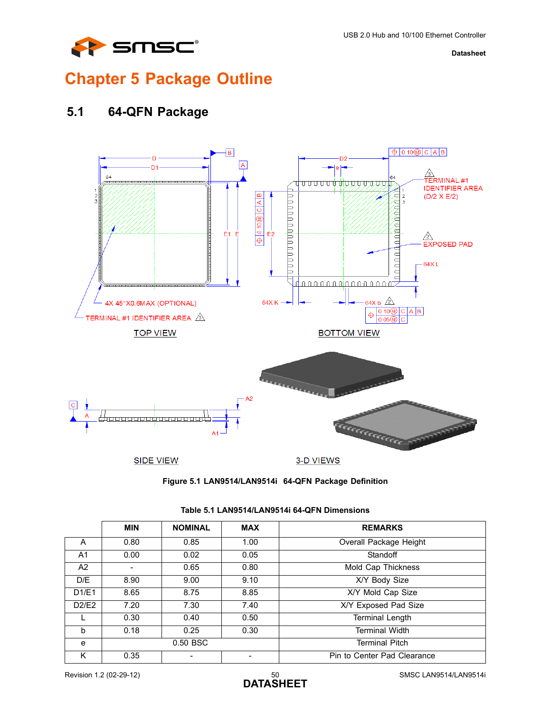

# <span id="page-49-0"></span>**Chapter 5 Package Outline**

## <span id="page-49-1"></span>**5.1 64-QFN Package**





<span id="page-49-3"></span><span id="page-49-2"></span>

|                | <b>MIN</b>               | <b>NOMINAL</b> | <b>MAX</b> | <b>REMARKS</b>              |
|----------------|--------------------------|----------------|------------|-----------------------------|
| A              | 0.80                     | 0.85           | 1.00       | Overall Package Height      |
| A <sub>1</sub> | 0.00                     | 0.02           | 0.05       | Standoff                    |
| A2             | $\overline{\phantom{a}}$ | 0.65           | 0.80       | Mold Cap Thickness          |
| D/E            | 8.90                     | 9.00           | 9.10       | X/Y Body Size               |
| D1/E1          | 8.65                     | 8.75           | 8.85       | X/Y Mold Cap Size           |
| D2/E2          | 7.20                     | 7.30           | 7.40       | X/Y Exposed Pad Size        |
|                | 0.30                     | 0.40           | 0.50       | <b>Terminal Length</b>      |
| h              | 0.18                     | 0.25           | 0.30       | <b>Terminal Width</b>       |
| e              |                          | 0.50 BSC       |            | <b>Terminal Pitch</b>       |
| ĸ              | 0.35                     |                |            | Pin to Center Pad Clearance |

#### **Table 5.1 LAN9514/LAN9514i 64-QFN Dimensions**

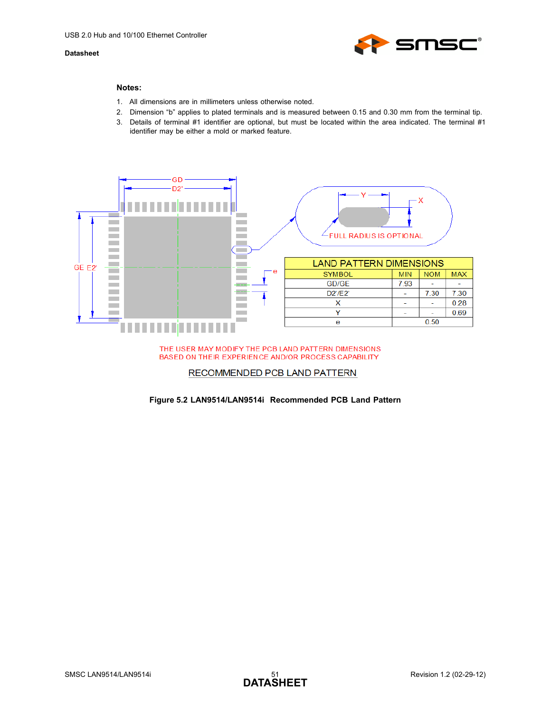

#### **Notes:**

- 1. All dimensions are in millimeters unless otherwise noted.
- 2. Dimension "b" applies to plated terminals and is measured between 0.15 and 0.30 mm from the terminal tip.
- 3. Details of terminal #1 identifier are optional, but must be located within the area indicated. The terminal #1 identifier may be either a mold or marked feature.



#### THE USER MAY MODIFY THE PCB LAND PATTERN DIMENSIONS BASED ON THEIR EXPERIENCE AND/OR PROCESS CAPABILITY

#### RECOMMENDED PCB LAND PATTERN

#### <span id="page-50-0"></span>**Figure 5.2 LAN9514/LAN9514i Recommended PCB Land Pattern**